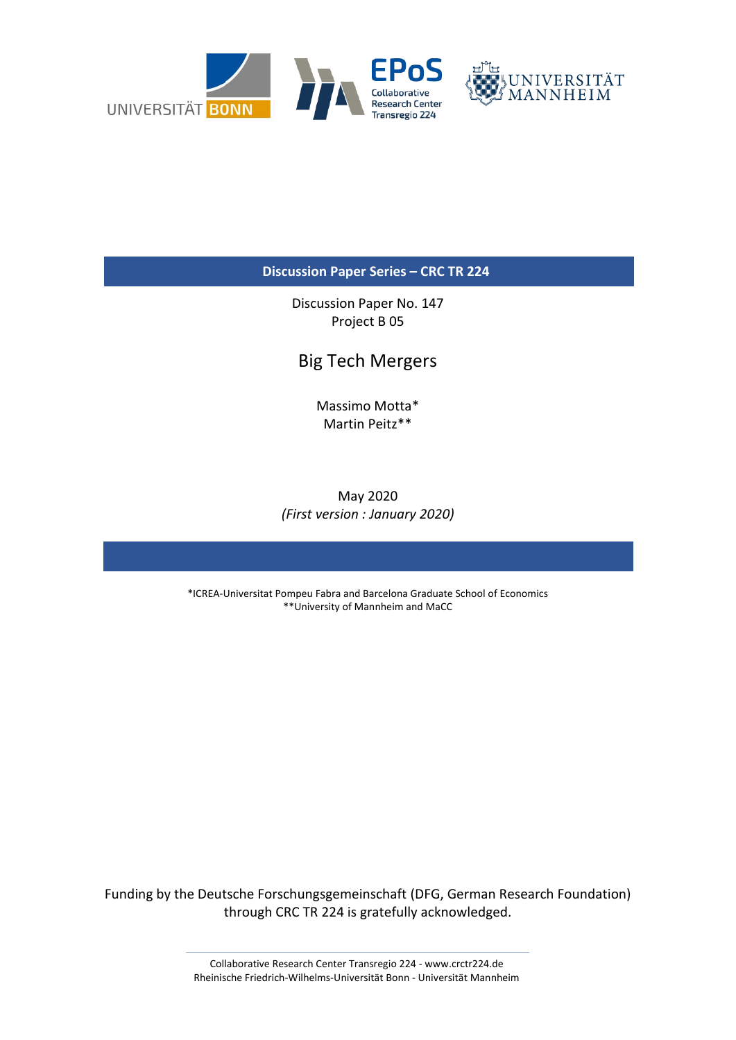

**Discussion Paper Series – CRC TR 224**

Discussion Paper No. 147 Project B 05

## Big Tech Mergers

Massimo Motta\* Martin Peitz\*\*

May 2020 *(First version : January 2020)*

\*ICREA-Universitat Pompeu Fabra and Barcelona Graduate School of Economics \*\*University of Mannheim and MaCC

Funding by the Deutsche Forschungsgemeinschaft (DFG, German Research Foundation) through CRC TR 224 is gratefully acknowledged.

> Collaborative Research Center Transregio 224 - www.crctr224.de Rheinische Friedrich-Wilhelms-Universität Bonn - Universität Mannheim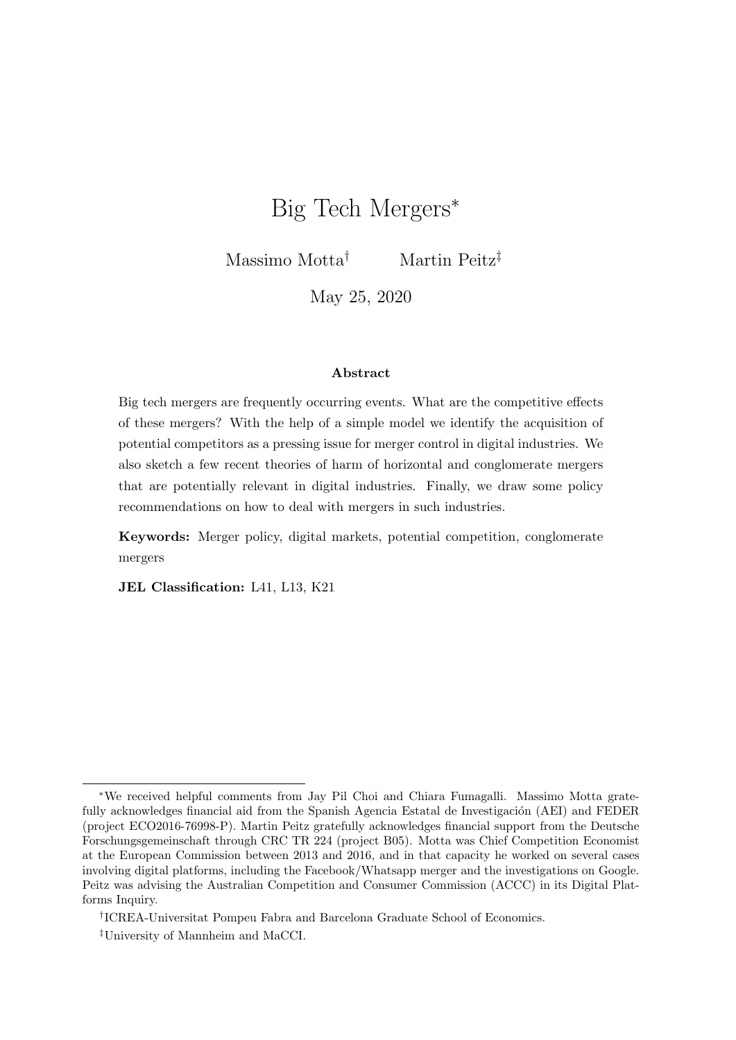# Big Tech Mergers<sup>∗</sup>

Massimo Motta† Martin Peitz‡

May 25, 2020

#### Abstract

Big tech mergers are frequently occurring events. What are the competitive effects of these mergers? With the help of a simple model we identify the acquisition of potential competitors as a pressing issue for merger control in digital industries. We also sketch a few recent theories of harm of horizontal and conglomerate mergers that are potentially relevant in digital industries. Finally, we draw some policy recommendations on how to deal with mergers in such industries.

Keywords: Merger policy, digital markets, potential competition, conglomerate mergers

JEL Classification: L41, L13, K21

<sup>∗</sup>We received helpful comments from Jay Pil Choi and Chiara Fumagalli. Massimo Motta gratefully acknowledges financial aid from the Spanish Agencia Estatal de Investigación (AEI) and FEDER (project ECO2016-76998-P). Martin Peitz gratefully acknowledges financial support from the Deutsche Forschungsgemeinschaft through CRC TR 224 (project B05). Motta was Chief Competition Economist at the European Commission between 2013 and 2016, and in that capacity he worked on several cases involving digital platforms, including the Facebook/Whatsapp merger and the investigations on Google. Peitz was advising the Australian Competition and Consumer Commission (ACCC) in its Digital Platforms Inquiry.

<sup>†</sup> ICREA-Universitat Pompeu Fabra and Barcelona Graduate School of Economics.

<sup>‡</sup>University of Mannheim and MaCCI.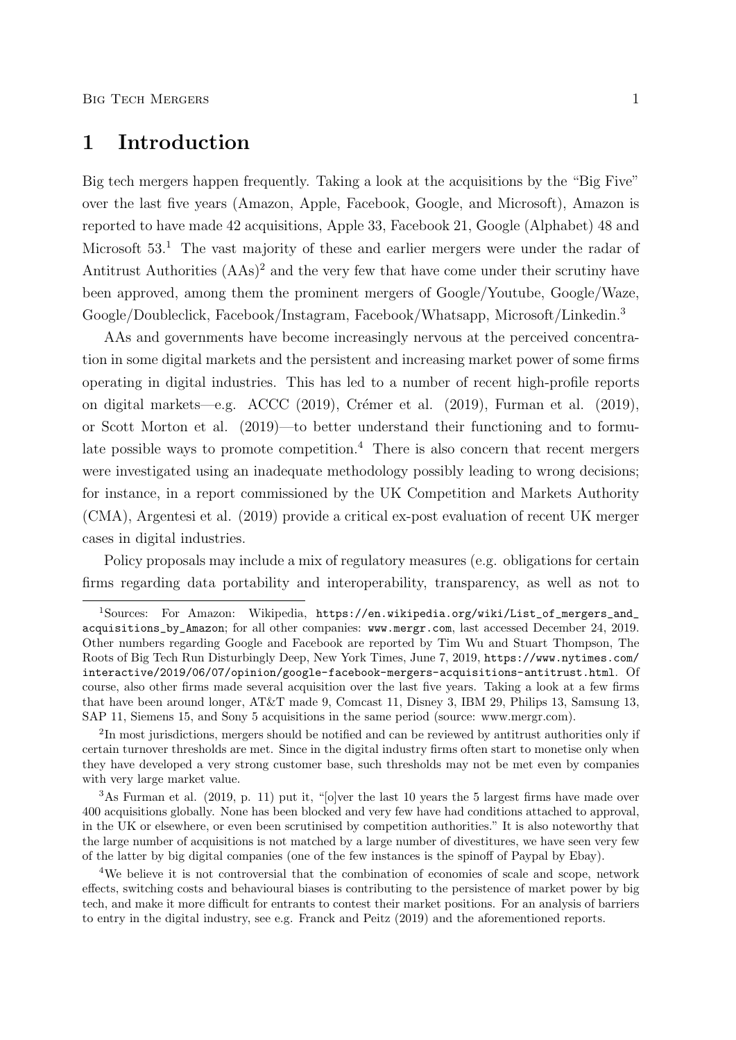## 1 Introduction

Big tech mergers happen frequently. Taking a look at the acquisitions by the "Big Five" over the last five years (Amazon, Apple, Facebook, Google, and Microsoft), Amazon is reported to have made 42 acquisitions, Apple 33, Facebook 21, Google (Alphabet) 48 and Microsoft  $53<sup>1</sup>$ . The vast majority of these and earlier mergers were under the radar of Antitrust Authorities  $(AAs)^2$  and the very few that have come under their scrutiny have been approved, among them the prominent mergers of Google/Youtube, Google/Waze, Google/Doubleclick, Facebook/Instagram, Facebook/Whatsapp, Microsoft/Linkedin.<sup>3</sup>

AAs and governments have become increasingly nervous at the perceived concentration in some digital markets and the persistent and increasing market power of some firms operating in digital industries. This has led to a number of recent high-profile reports on digital markets—e.g. ACCC  $(2019)$ , Crémer et al.  $(2019)$ , Furman et al.  $(2019)$ , or Scott Morton et al. (2019)—to better understand their functioning and to formulate possible ways to promote competition.<sup>4</sup> There is also concern that recent mergers were investigated using an inadequate methodology possibly leading to wrong decisions; for instance, in a report commissioned by the UK Competition and Markets Authority (CMA), Argentesi et al. (2019) provide a critical ex-post evaluation of recent UK merger cases in digital industries.

Policy proposals may include a mix of regulatory measures (e.g. obligations for certain firms regarding data portability and interoperability, transparency, as well as not to

<sup>1</sup>Sources: For Amazon: Wikipedia, https://en.wikipedia.org/wiki/List\_of\_mergers\_and\_ acquisitions\_by\_Amazon; for all other companies: www.mergr.com, last accessed December 24, 2019. Other numbers regarding Google and Facebook are reported by Tim Wu and Stuart Thompson, The Roots of Big Tech Run Disturbingly Deep, New York Times, June 7, 2019, https://www.nytimes.com/ interactive/2019/06/07/opinion/google-facebook-mergers-acquisitions-antitrust.html. Of course, also other firms made several acquisition over the last five years. Taking a look at a few firms that have been around longer, AT&T made 9, Comcast 11, Disney 3, IBM 29, Philips 13, Samsung 13, SAP 11, Siemens 15, and Sony 5 acquisitions in the same period (source: www.mergr.com).

<sup>&</sup>lt;sup>2</sup>In most jurisdictions, mergers should be notified and can be reviewed by antitrust authorities only if certain turnover thresholds are met. Since in the digital industry firms often start to monetise only when they have developed a very strong customer base, such thresholds may not be met even by companies with very large market value.

 $3$ As Furman et al. (2019, p. 11) put it, "[o]ver the last 10 years the 5 largest firms have made over 400 acquisitions globally. None has been blocked and very few have had conditions attached to approval, in the UK or elsewhere, or even been scrutinised by competition authorities." It is also noteworthy that the large number of acquisitions is not matched by a large number of divestitures, we have seen very few of the latter by big digital companies (one of the few instances is the spinoff of Paypal by Ebay).

<sup>4</sup>We believe it is not controversial that the combination of economies of scale and scope, network effects, switching costs and behavioural biases is contributing to the persistence of market power by big tech, and make it more difficult for entrants to contest their market positions. For an analysis of barriers to entry in the digital industry, see e.g. Franck and Peitz (2019) and the aforementioned reports.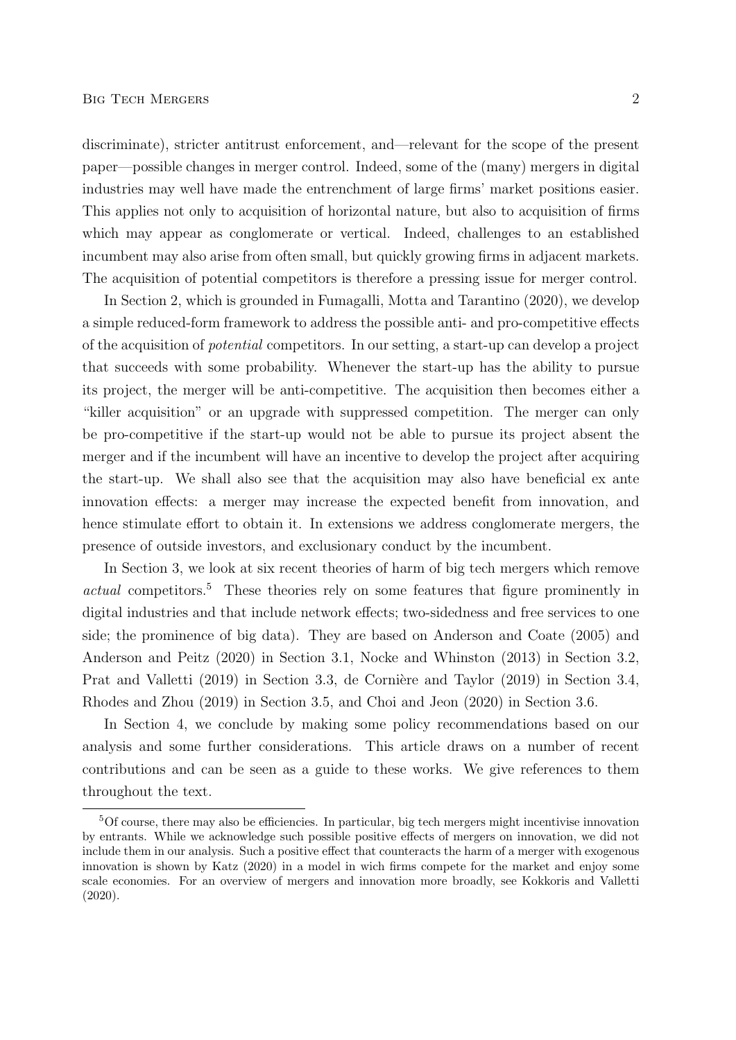discriminate), stricter antitrust enforcement, and—relevant for the scope of the present paper—possible changes in merger control. Indeed, some of the (many) mergers in digital industries may well have made the entrenchment of large firms' market positions easier. This applies not only to acquisition of horizontal nature, but also to acquisition of firms which may appear as conglomerate or vertical. Indeed, challenges to an established incumbent may also arise from often small, but quickly growing firms in adjacent markets. The acquisition of potential competitors is therefore a pressing issue for merger control.

In Section 2, which is grounded in Fumagalli, Motta and Tarantino (2020), we develop a simple reduced-form framework to address the possible anti- and pro-competitive effects of the acquisition of potential competitors. In our setting, a start-up can develop a project that succeeds with some probability. Whenever the start-up has the ability to pursue its project, the merger will be anti-competitive. The acquisition then becomes either a "killer acquisition" or an upgrade with suppressed competition. The merger can only be pro-competitive if the start-up would not be able to pursue its project absent the merger and if the incumbent will have an incentive to develop the project after acquiring the start-up. We shall also see that the acquisition may also have beneficial ex ante innovation effects: a merger may increase the expected benefit from innovation, and hence stimulate effort to obtain it. In extensions we address conglomerate mergers, the presence of outside investors, and exclusionary conduct by the incumbent.

In Section 3, we look at six recent theories of harm of big tech mergers which remove actual competitors.<sup>5</sup> These theories rely on some features that figure prominently in digital industries and that include network effects; two-sidedness and free services to one side; the prominence of big data). They are based on Anderson and Coate (2005) and Anderson and Peitz (2020) in Section 3.1, Nocke and Whinston (2013) in Section 3.2, Prat and Valletti (2019) in Section 3.3, de Cornière and Taylor (2019) in Section 3.4, Rhodes and Zhou (2019) in Section 3.5, and Choi and Jeon (2020) in Section 3.6.

In Section 4, we conclude by making some policy recommendations based on our analysis and some further considerations. This article draws on a number of recent contributions and can be seen as a guide to these works. We give references to them throughout the text.

<sup>5</sup>Of course, there may also be efficiencies. In particular, big tech mergers might incentivise innovation by entrants. While we acknowledge such possible positive effects of mergers on innovation, we did not include them in our analysis. Such a positive effect that counteracts the harm of a merger with exogenous innovation is shown by Katz (2020) in a model in wich firms compete for the market and enjoy some scale economies. For an overview of mergers and innovation more broadly, see Kokkoris and Valletti (2020).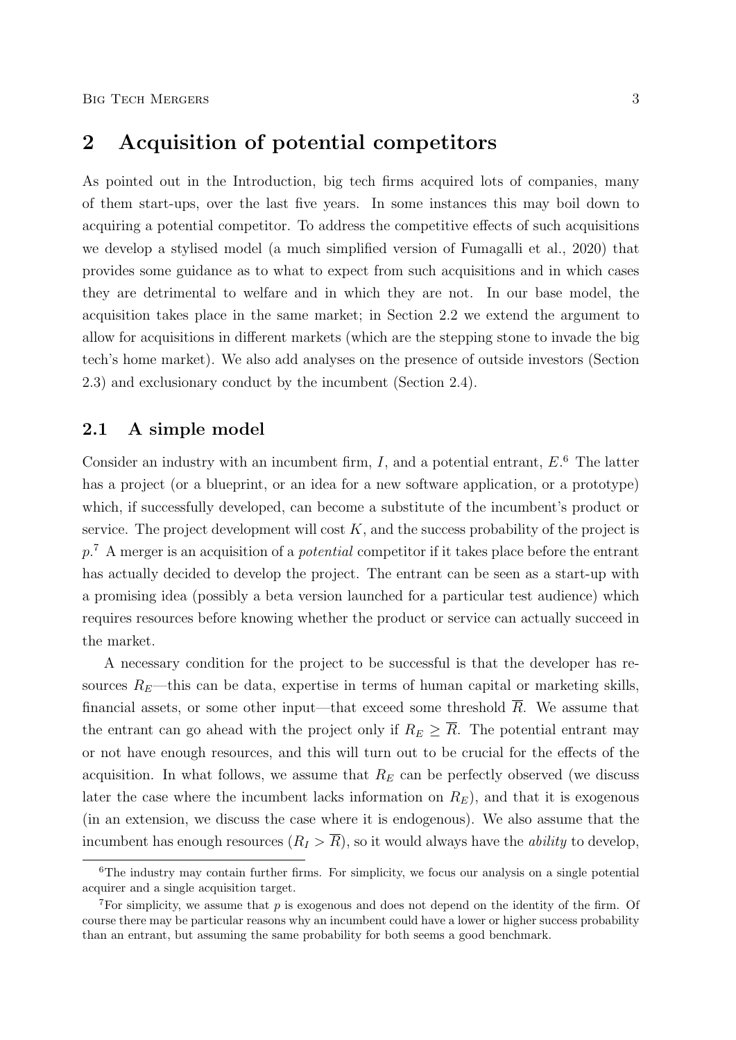## 2 Acquisition of potential competitors

As pointed out in the Introduction, big tech firms acquired lots of companies, many of them start-ups, over the last five years. In some instances this may boil down to acquiring a potential competitor. To address the competitive effects of such acquisitions we develop a stylised model (a much simplified version of Fumagalli et al., 2020) that provides some guidance as to what to expect from such acquisitions and in which cases they are detrimental to welfare and in which they are not. In our base model, the acquisition takes place in the same market; in Section 2.2 we extend the argument to allow for acquisitions in different markets (which are the stepping stone to invade the big tech's home market). We also add analyses on the presence of outside investors (Section 2.3) and exclusionary conduct by the incumbent (Section 2.4).

### 2.1 A simple model

Consider an industry with an incumbent firm,  $I$ , and a potential entrant,  $E$ <sup>6</sup>. The latter has a project (or a blueprint, or an idea for a new software application, or a prototype) which, if successfully developed, can become a substitute of the incumbent's product or service. The project development will cost  $K$ , and the success probability of the project is  $p<sup>7</sup>$ . A merger is an acquisition of a *potential* competitor if it takes place before the entrant has actually decided to develop the project. The entrant can be seen as a start-up with a promising idea (possibly a beta version launched for a particular test audience) which requires resources before knowing whether the product or service can actually succeed in the market.

A necessary condition for the project to be successful is that the developer has resources  $R_E$ —this can be data, expertise in terms of human capital or marketing skills, financial assets, or some other input—that exceed some threshold  $\overline{R}$ . We assume that the entrant can go ahead with the project only if  $R_E \geq \overline{R}$ . The potential entrant may or not have enough resources, and this will turn out to be crucial for the effects of the acquisition. In what follows, we assume that  $R_E$  can be perfectly observed (we discuss later the case where the incumbent lacks information on  $R<sub>E</sub>$ ), and that it is exogenous (in an extension, we discuss the case where it is endogenous). We also assume that the incumbent has enough resources  $(R_I > \overline{R})$ , so it would always have the *ability* to develop,

 $6$ The industry may contain further firms. For simplicity, we focus our analysis on a single potential acquirer and a single acquisition target.

<sup>&</sup>lt;sup>7</sup>For simplicity, we assume that  $p$  is exogenous and does not depend on the identity of the firm. Of course there may be particular reasons why an incumbent could have a lower or higher success probability than an entrant, but assuming the same probability for both seems a good benchmark.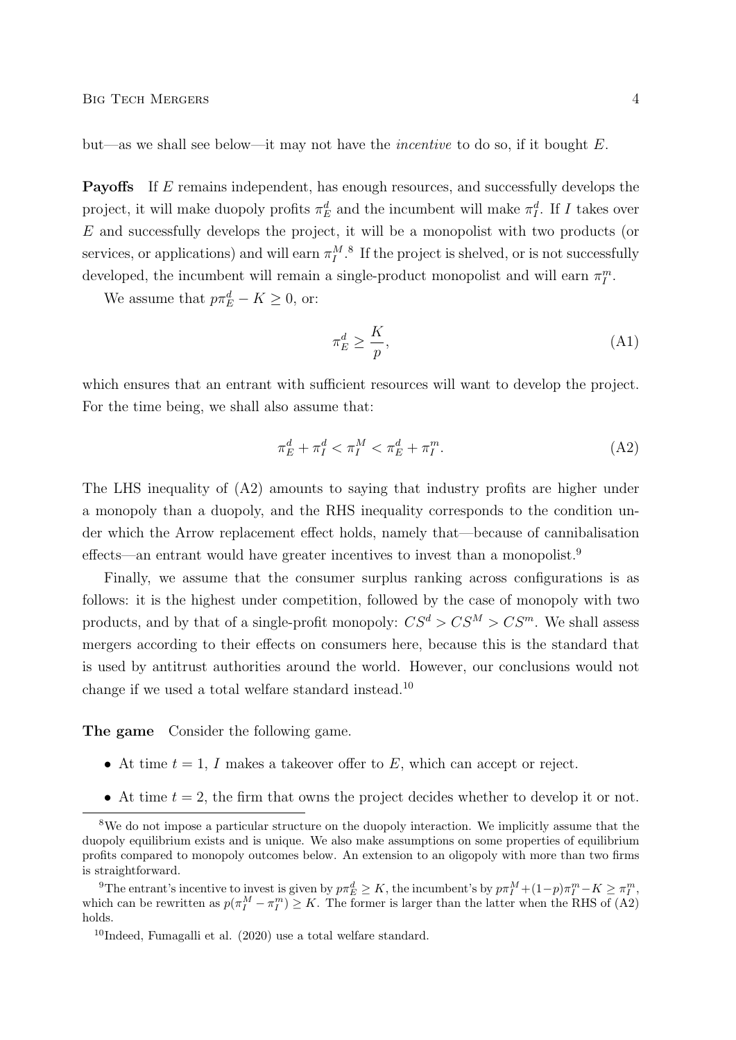but—as we shall see below—it may not have the *incentive* to do so, if it bought  $E$ .

Payoffs If E remains independent, has enough resources, and successfully develops the project, it will make duopoly profits  $\pi_E^d$  and the incumbent will make  $\pi_I^d$ . If I takes over E and successfully develops the project, it will be a monopolist with two products (or services, or applications) and will earn  $\pi_I^{M.8}$  If the project is shelved, or is not successfully developed, the incumbent will remain a single-product monopolist and will earn  $\pi_I^m$ .

We assume that  $p\pi_E^d - K \geq 0$ , or:

$$
\pi_E^d \ge \frac{K}{p},\tag{A1}
$$

which ensures that an entrant with sufficient resources will want to develop the project. For the time being, we shall also assume that:

$$
\pi_E^d + \pi_I^d < \pi_I^M < \pi_E^d + \pi_I^m. \tag{A2}
$$

The LHS inequality of (A2) amounts to saying that industry profits are higher under a monopoly than a duopoly, and the RHS inequality corresponds to the condition under which the Arrow replacement effect holds, namely that—because of cannibalisation effects—an entrant would have greater incentives to invest than a monopolist.<sup>9</sup>

Finally, we assume that the consumer surplus ranking across configurations is as follows: it is the highest under competition, followed by the case of monopoly with two products, and by that of a single-profit monopoly:  $CS^d > CS^M > CS^m$ . We shall assess mergers according to their effects on consumers here, because this is the standard that is used by antitrust authorities around the world. However, our conclusions would not change if we used a total welfare standard instead.<sup>10</sup>

The game Consider the following game.

- At time  $t = 1$ , I makes a takeover offer to E, which can accept or reject.
- At time  $t = 2$ , the firm that owns the project decides whether to develop it or not.

<sup>9</sup>The entrant's incentive to invest is given by  $p\pi_E^d \ge K$ , the incumbent's by  $p\pi_I^M + (1-p)\pi_I^m - K \ge \pi_I^m$ , which can be rewritten as  $p(\pi_I^M - \pi_I^m) \geq K$ . The former is larger than the latter when the RHS of (A2) holds.

<sup>&</sup>lt;sup>8</sup>We do not impose a particular structure on the duopoly interaction. We implicitly assume that the duopoly equilibrium exists and is unique. We also make assumptions on some properties of equilibrium profits compared to monopoly outcomes below. An extension to an oligopoly with more than two firms is straightforward.

<sup>&</sup>lt;sup>10</sup>Indeed, Fumagalli et al.  $(2020)$  use a total welfare standard.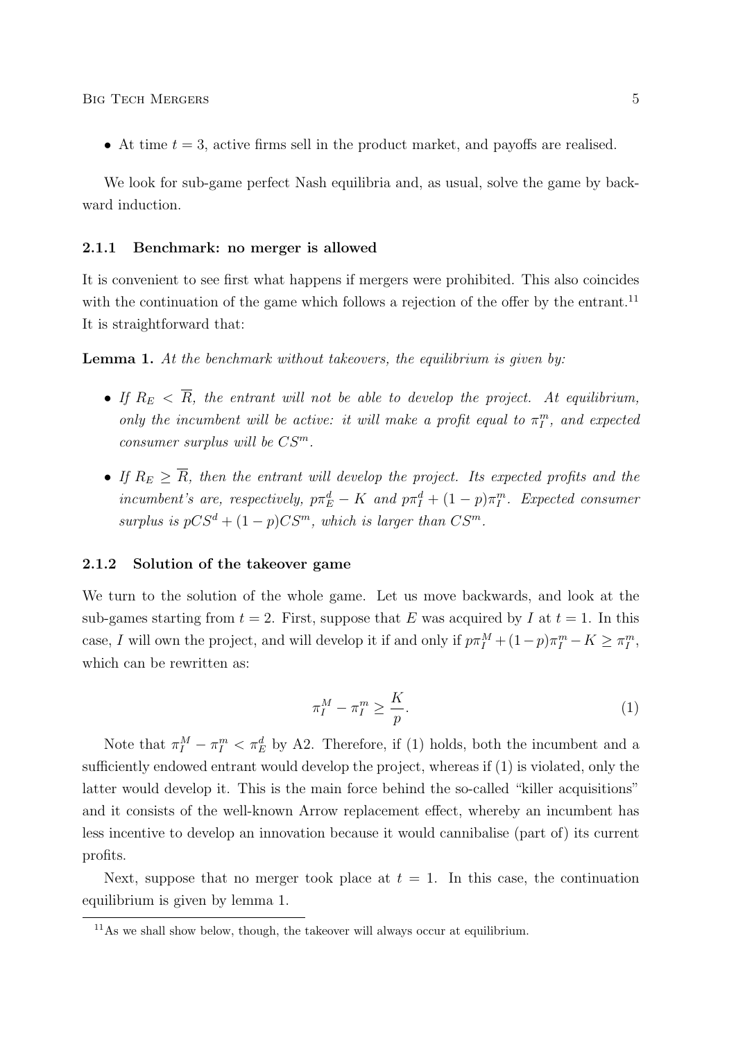• At time  $t = 3$ , active firms sell in the product market, and payoffs are realised.

We look for sub-game perfect Nash equilibria and, as usual, solve the game by backward induction.

#### 2.1.1 Benchmark: no merger is allowed

It is convenient to see first what happens if mergers were prohibited. This also coincides with the continuation of the game which follows a rejection of the offer by the entrant.<sup>11</sup> It is straightforward that:

**Lemma 1.** At the benchmark without takeovers, the equilibrium is given by:

- If  $R_E < \overline{R}$ , the entrant will not be able to develop the project. At equilibrium, only the incumbent will be active: it will make a profit equal to  $\pi_I^m$ , and expected consumer surplus will be  $CS^m$ .
- If  $R_E \geq \overline{R}$ , then the entrant will develop the project. Its expected profits and the incumbent's are, respectively,  $p\pi_E^d - K$  and  $p\pi_I^d + (1-p)\pi_I^m$ . Expected consumer surplus is  $pCS^d + (1-p)CS^m$ , which is larger than  $CS^m$ .

#### 2.1.2 Solution of the takeover game

We turn to the solution of the whole game. Let us move backwards, and look at the sub-games starting from  $t = 2$ . First, suppose that E was acquired by I at  $t = 1$ . In this case, I will own the project, and will develop it if and only if  $p\pi_I^M + (1-p)\pi_I^m - K \ge \pi_I^m$ , which can be rewritten as:

$$
\pi_I^M - \pi_I^m \ge \frac{K}{p}.\tag{1}
$$

Note that  $\pi_I^M - \pi_I^m < \pi_E^d$  by A2. Therefore, if (1) holds, both the incumbent and a sufficiently endowed entrant would develop the project, whereas if (1) is violated, only the latter would develop it. This is the main force behind the so-called "killer acquisitions" and it consists of the well-known Arrow replacement effect, whereby an incumbent has less incentive to develop an innovation because it would cannibalise (part of) its current profits.

Next, suppose that no merger took place at  $t = 1$ . In this case, the continuation equilibrium is given by lemma 1.

 $11\text{As}$  we shall show below, though, the takeover will always occur at equilibrium.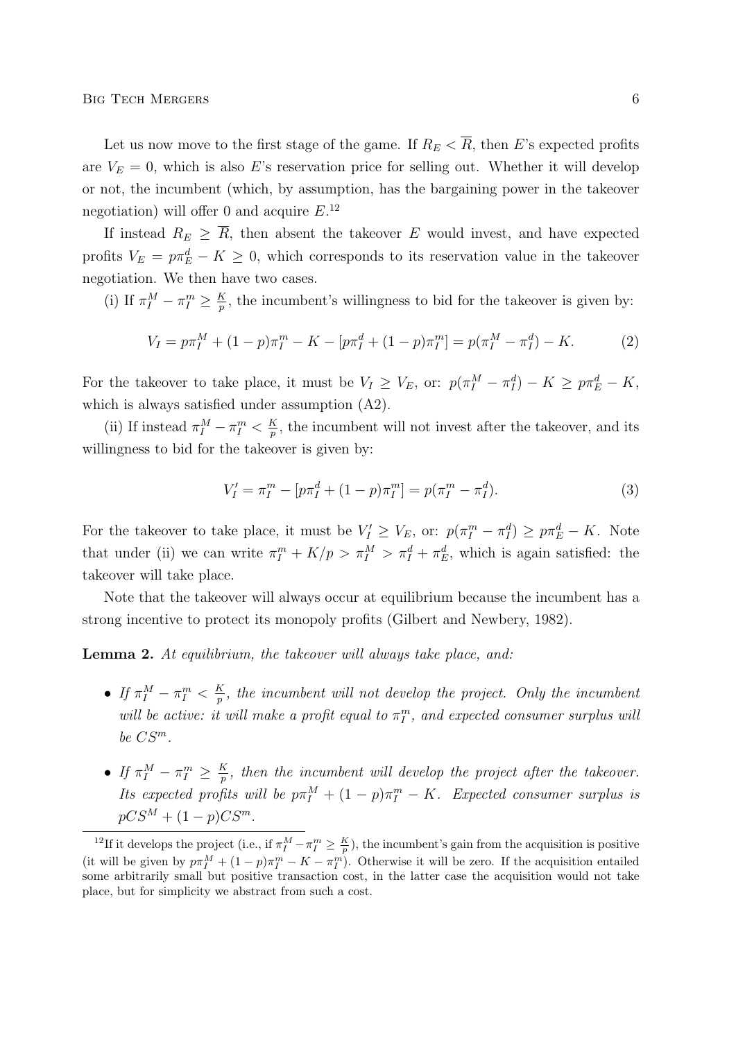BIG TECH MERGERS 6

Let us now move to the first stage of the game. If  $R_E < \overline{R}$ , then E's expected profits are  $V_E = 0$ , which is also E's reservation price for selling out. Whether it will develop or not, the incumbent (which, by assumption, has the bargaining power in the takeover negotiation) will offer 0 and acquire  $E^{12}$ 

If instead  $R_E \geq \overline{R}$ , then absent the takeover E would invest, and have expected profits  $V_E = p\pi_E^d - K \geq 0$ , which corresponds to its reservation value in the takeover negotiation. We then have two cases.

(i) If  $\pi_I^M - \pi_I^m \geq \frac{K}{p}$  $\frac{K}{p}$ , the incumbent's willingness to bid for the takeover is given by:

$$
V_I = p\pi_I^M + (1 - p)\pi_I^m - K - [p\pi_I^d + (1 - p)\pi_I^m] = p(\pi_I^M - \pi_I^d) - K.
$$
 (2)

For the takeover to take place, it must be  $V_I \geq V_E$ , or:  $p(\pi_I^M - \pi_I^d) - K \geq p\pi_E^d - K$ , which is always satisfied under assumption (A2).

(ii) If instead  $\pi_I^M - \pi_I^m < \frac{K}{p}$  $\frac{R}{p}$ , the incumbent will not invest after the takeover, and its willingness to bid for the takeover is given by:

$$
V'_I = \pi_I^m - [p\pi_I^d + (1 - p)\pi_I^m] = p(\pi_I^m - \pi_I^d). \tag{3}
$$

For the takeover to take place, it must be  $V'_I \geq V_E$ , or:  $p(\pi_I^m - \pi_I^d) \geq p\pi_E^d - K$ . Note that under (ii) we can write  $\pi_I^m + K/p > \pi_I^M > \pi_I^d + \pi_E^d$ , which is again satisfied: the takeover will take place.

Note that the takeover will always occur at equilibrium because the incumbent has a strong incentive to protect its monopoly profits (Gilbert and Newbery, 1982).

Lemma 2. At equilibrium, the takeover will always take place, and:

- $\bullet$  If  $\pi_I^M \pi_I^m < \frac{K}{p}$  $\frac{K}{p}$ , the incumbent will not develop the project. Only the incumbent will be active: it will make a profit equal to  $\pi_I^m$ , and expected consumer surplus will be  $CS^m$ .
- $\bullet$  If  $\pi_I^M \pi_I^m \geq \frac{K}{p}$  $\frac{\kappa}{p}$ , then the incumbent will develop the project after the takeover. Its expected profits will be  $p\pi_I^M + (1-p)\pi_I^m - K$ . Expected consumer surplus is  $pCS^M + (1-p)CS^m$ .

<sup>&</sup>lt;sup>12</sup>If it develops the project (i.e., if  $\pi_I^M - \pi_I^m \geq \frac{K}{p}$ ), the incumbent's gain from the acquisition is positive (it will be given by  $p\pi_I^M + (1-p)\pi_I^m - K - \pi_I^m$ ). Otherwise it will be zero. If the acquisition entailed some arbitrarily small but positive transaction cost, in the latter case the acquisition would not take place, but for simplicity we abstract from such a cost.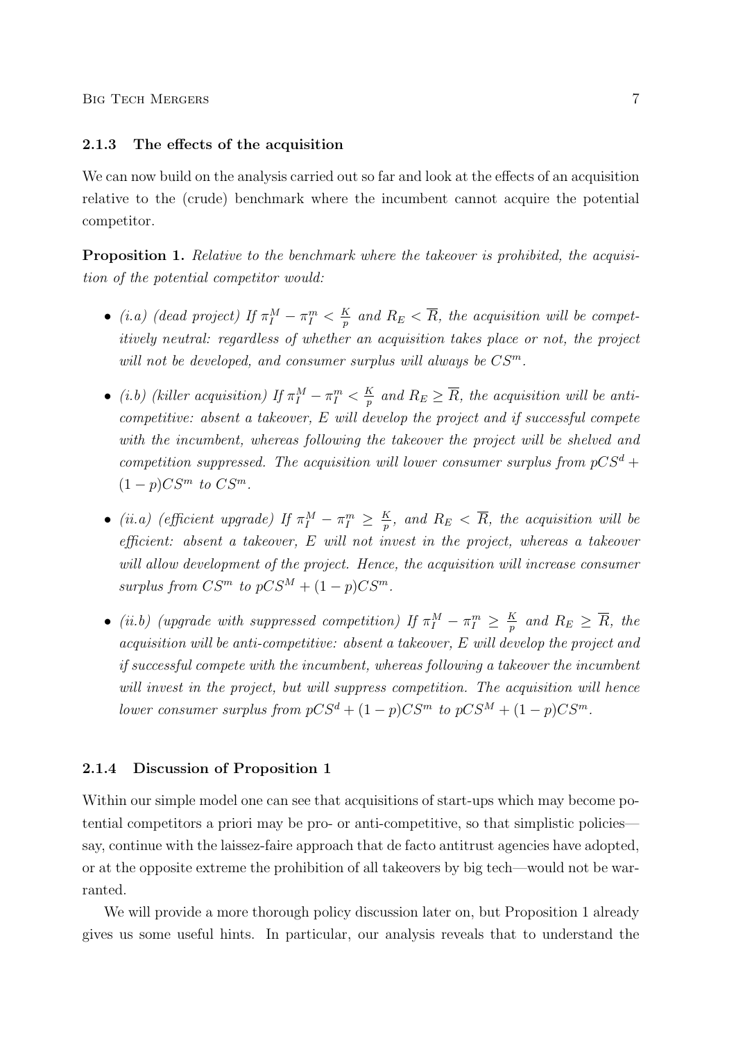#### 2.1.3 The effects of the acquisition

We can now build on the analysis carried out so far and look at the effects of an acquisition relative to the (crude) benchmark where the incumbent cannot acquire the potential competitor.

Proposition 1. Relative to the benchmark where the takeover is prohibited, the acquisition of the potential competitor would:

- (i.a) (dead project) If  $\pi_I^M \pi_I^m < \frac{K}{p}$  $\frac{K}{p}$  and  $R_E < R$ , the acquisition will be competitively neutral: regardless of whether an acquisition takes place or not, the project will not be developed, and consumer surplus will always be  $CS^m$ .
- (i.b) (killer acquisition) If  $\pi_I^M \pi_I^m < \frac{K}{p}$  $\frac{K}{p}$  and  $R_E \ge R$ , the acquisition will be anticompetitive: absent a takeover, E will develop the project and if successful compete with the incumbent, whereas following the takeover the project will be shelved and competition suppressed. The acquisition will lower consumer surplus from  $pCS^d$  +  $(1-p)CS^m$  to  $CS^m$ .
- (ii.a) (efficient upgrade) If  $\pi_I^M \pi_I^m \geq \frac{K}{p}$  $\frac{K}{p},$  and  $R_E < R,$  the acquisition will be efficient: absent a takeover, E will not invest in the project, whereas a takeover will allow development of the project. Hence, the acquisition will increase consumer surplus from  $CS^m$  to  $pCS^M + (1-p)CS^m$ .
- (ii.b) (upgrade with suppressed competition) If  $\pi_I^M \pi_I^m \geq \frac{K}{p}$  $\frac{K}{p}$  and  $R_E\,\geq\,\overline{R},\,$  the acquisition will be anti-competitive: absent a takeover, E will develop the project and if successful compete with the incumbent, whereas following a takeover the incumbent will invest in the project, but will suppress competition. The acquisition will hence lower consumer surplus from  $pCS^d + (1-p)CS^m$  to  $pCS^M + (1-p)CS^m$ .

#### 2.1.4 Discussion of Proposition 1

Within our simple model one can see that acquisitions of start-ups which may become potential competitors a priori may be pro- or anti-competitive, so that simplistic policies say, continue with the laissez-faire approach that de facto antitrust agencies have adopted, or at the opposite extreme the prohibition of all takeovers by big tech—would not be warranted.

We will provide a more thorough policy discussion later on, but Proposition 1 already gives us some useful hints. In particular, our analysis reveals that to understand the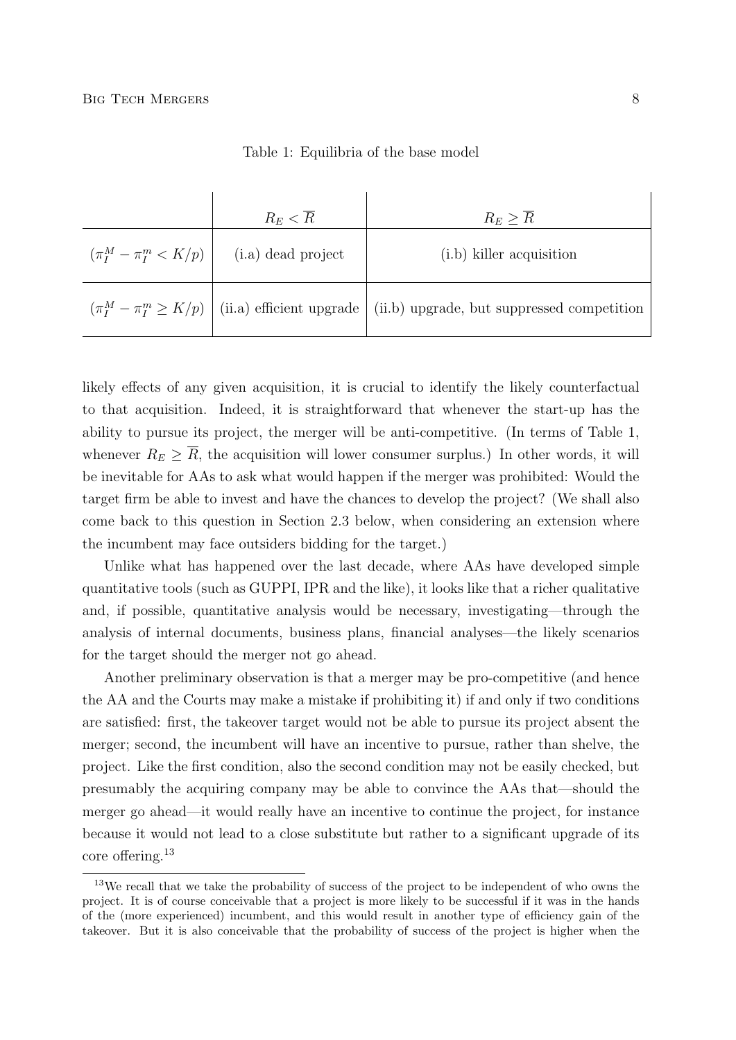| $R_E < R$                                      | $R_E > R$                                                                                         |
|------------------------------------------------|---------------------------------------------------------------------------------------------------|
| $(\pi_I^M - \pi_I^m < K/p)$ (i.a) dead project | $(i.b)$ killer acquisition                                                                        |
|                                                | $(\pi_I^M - \pi_I^m \ge K/p)$ (ii.a) efficient upgrade (ii.b) upgrade, but suppressed competition |

Table 1: Equilibria of the base model

likely effects of any given acquisition, it is crucial to identify the likely counterfactual to that acquisition. Indeed, it is straightforward that whenever the start-up has the ability to pursue its project, the merger will be anti-competitive. (In terms of Table 1, whenever  $R_E \geq \overline{R}$ , the acquisition will lower consumer surplus.) In other words, it will be inevitable for AAs to ask what would happen if the merger was prohibited: Would the target firm be able to invest and have the chances to develop the project? (We shall also come back to this question in Section 2.3 below, when considering an extension where the incumbent may face outsiders bidding for the target.)

Unlike what has happened over the last decade, where AAs have developed simple quantitative tools (such as GUPPI, IPR and the like), it looks like that a richer qualitative and, if possible, quantitative analysis would be necessary, investigating—through the analysis of internal documents, business plans, financial analyses—the likely scenarios for the target should the merger not go ahead.

Another preliminary observation is that a merger may be pro-competitive (and hence the AA and the Courts may make a mistake if prohibiting it) if and only if two conditions are satisfied: first, the takeover target would not be able to pursue its project absent the merger; second, the incumbent will have an incentive to pursue, rather than shelve, the project. Like the first condition, also the second condition may not be easily checked, but presumably the acquiring company may be able to convince the AAs that—should the merger go ahead—it would really have an incentive to continue the project, for instance because it would not lead to a close substitute but rather to a significant upgrade of its core offering.<sup>13</sup>

<sup>&</sup>lt;sup>13</sup>We recall that we take the probability of success of the project to be independent of who owns the project. It is of course conceivable that a project is more likely to be successful if it was in the hands of the (more experienced) incumbent, and this would result in another type of efficiency gain of the takeover. But it is also conceivable that the probability of success of the project is higher when the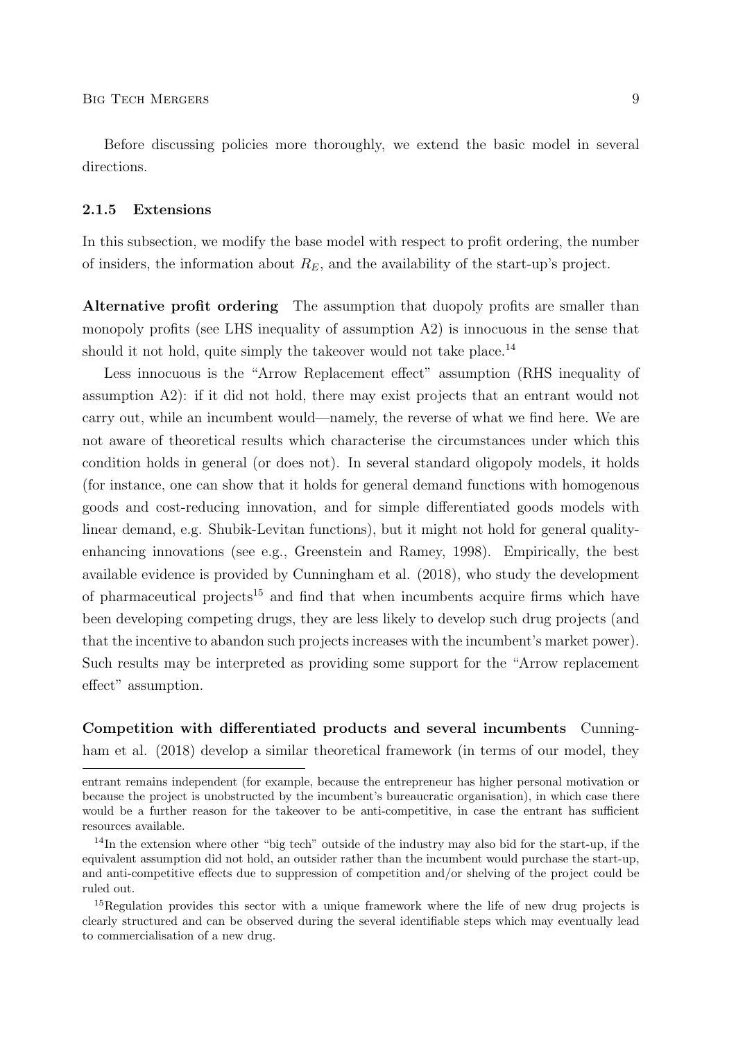Before discussing policies more thoroughly, we extend the basic model in several directions.

#### 2.1.5 Extensions

In this subsection, we modify the base model with respect to profit ordering, the number of insiders, the information about  $R_E$ , and the availability of the start-up's project.

Alternative profit ordering The assumption that duopoly profits are smaller than monopoly profits (see LHS inequality of assumption A2) is innocuous in the sense that should it not hold, quite simply the takeover would not take place.<sup>14</sup>

Less innocuous is the "Arrow Replacement effect" assumption (RHS inequality of assumption A2): if it did not hold, there may exist projects that an entrant would not carry out, while an incumbent would—namely, the reverse of what we find here. We are not aware of theoretical results which characterise the circumstances under which this condition holds in general (or does not). In several standard oligopoly models, it holds (for instance, one can show that it holds for general demand functions with homogenous goods and cost-reducing innovation, and for simple differentiated goods models with linear demand, e.g. Shubik-Levitan functions), but it might not hold for general qualityenhancing innovations (see e.g., Greenstein and Ramey, 1998). Empirically, the best available evidence is provided by Cunningham et al. (2018), who study the development of pharmaceutical projects<sup>15</sup> and find that when incumbents acquire firms which have been developing competing drugs, they are less likely to develop such drug projects (and that the incentive to abandon such projects increases with the incumbent's market power). Such results may be interpreted as providing some support for the "Arrow replacement effect" assumption.

Competition with differentiated products and several incumbents Cunningham et al. (2018) develop a similar theoretical framework (in terms of our model, they

entrant remains independent (for example, because the entrepreneur has higher personal motivation or because the project is unobstructed by the incumbent's bureaucratic organisation), in which case there would be a further reason for the takeover to be anti-competitive, in case the entrant has sufficient resources available.

<sup>14</sup>In the extension where other "big tech" outside of the industry may also bid for the start-up, if the equivalent assumption did not hold, an outsider rather than the incumbent would purchase the start-up, and anti-competitive effects due to suppression of competition and/or shelving of the project could be ruled out.

<sup>&</sup>lt;sup>15</sup>Regulation provides this sector with a unique framework where the life of new drug projects is clearly structured and can be observed during the several identifiable steps which may eventually lead to commercialisation of a new drug.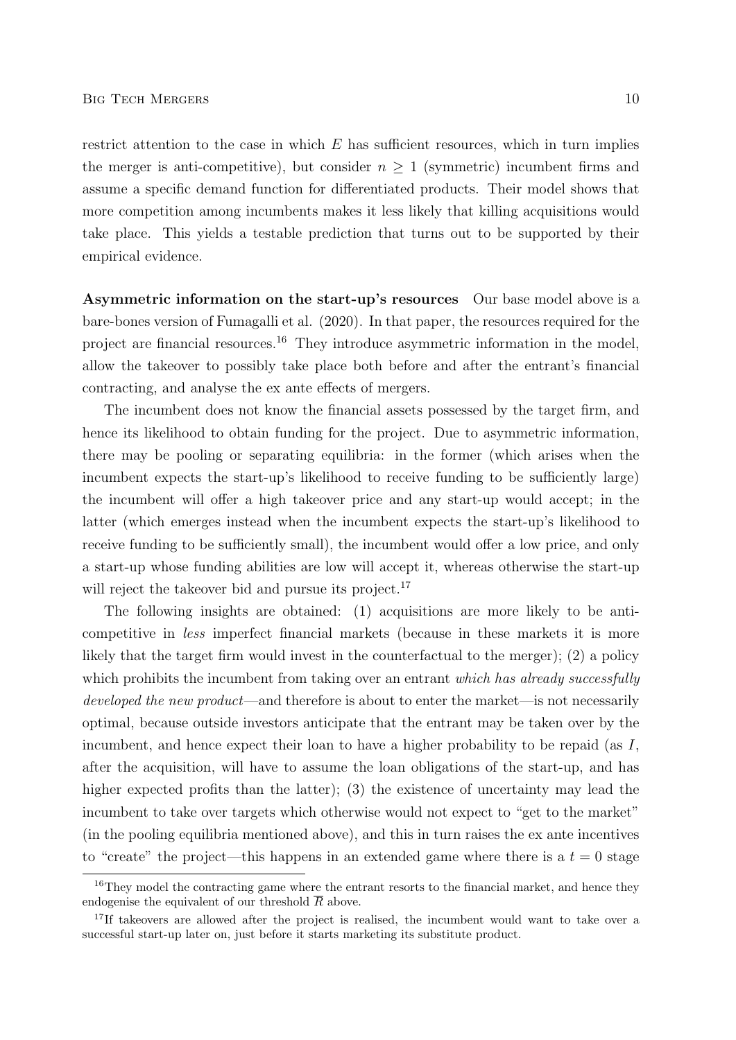restrict attention to the case in which  $E$  has sufficient resources, which in turn implies the merger is anti-competitive), but consider  $n \geq 1$  (symmetric) incumbent firms and assume a specific demand function for differentiated products. Their model shows that more competition among incumbents makes it less likely that killing acquisitions would take place. This yields a testable prediction that turns out to be supported by their empirical evidence.

Asymmetric information on the start-up's resources Our base model above is a bare-bones version of Fumagalli et al. (2020). In that paper, the resources required for the project are financial resources.<sup>16</sup> They introduce asymmetric information in the model, allow the takeover to possibly take place both before and after the entrant's financial contracting, and analyse the ex ante effects of mergers.

The incumbent does not know the financial assets possessed by the target firm, and hence its likelihood to obtain funding for the project. Due to asymmetric information, there may be pooling or separating equilibria: in the former (which arises when the incumbent expects the start-up's likelihood to receive funding to be sufficiently large) the incumbent will offer a high takeover price and any start-up would accept; in the latter (which emerges instead when the incumbent expects the start-up's likelihood to receive funding to be sufficiently small), the incumbent would offer a low price, and only a start-up whose funding abilities are low will accept it, whereas otherwise the start-up will reject the takeover bid and pursue its project.<sup>17</sup>

The following insights are obtained: (1) acquisitions are more likely to be anticompetitive in less imperfect financial markets (because in these markets it is more likely that the target firm would invest in the counterfactual to the merger); (2) a policy which prohibits the incumbent from taking over an entrant which has already successfully developed the new product—and therefore is about to enter the market—is not necessarily optimal, because outside investors anticipate that the entrant may be taken over by the incumbent, and hence expect their loan to have a higher probability to be repaid (as  $I$ , after the acquisition, will have to assume the loan obligations of the start-up, and has higher expected profits than the latter); (3) the existence of uncertainty may lead the incumbent to take over targets which otherwise would not expect to "get to the market" (in the pooling equilibria mentioned above), and this in turn raises the ex ante incentives to "create" the project—this happens in an extended game where there is a  $t = 0$  stage

<sup>&</sup>lt;sup>16</sup>They model the contracting game where the entrant resorts to the financial market, and hence they endogenise the equivalent of our threshold  $\overline{R}$  above.

<sup>&</sup>lt;sup>17</sup>If takeovers are allowed after the project is realised, the incumbent would want to take over a successful start-up later on, just before it starts marketing its substitute product.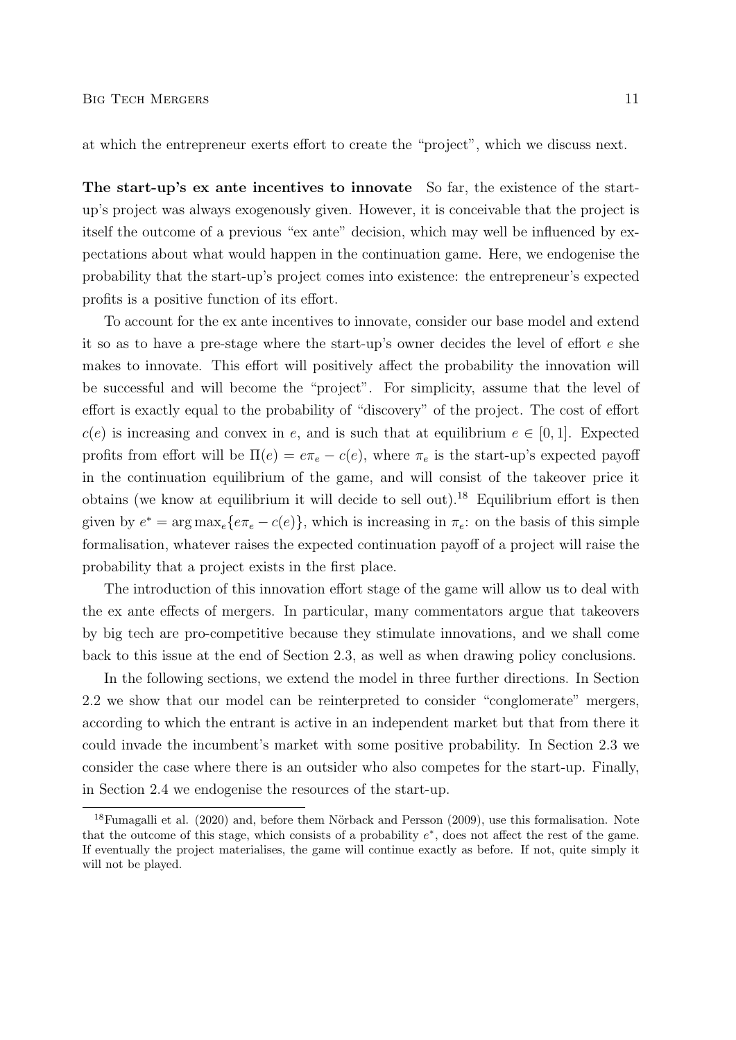at which the entrepreneur exerts effort to create the "project", which we discuss next.

The start-up's ex ante incentives to innovate So far, the existence of the startup's project was always exogenously given. However, it is conceivable that the project is itself the outcome of a previous "ex ante" decision, which may well be influenced by expectations about what would happen in the continuation game. Here, we endogenise the probability that the start-up's project comes into existence: the entrepreneur's expected profits is a positive function of its effort.

To account for the ex ante incentives to innovate, consider our base model and extend it so as to have a pre-stage where the start-up's owner decides the level of effort e she makes to innovate. This effort will positively affect the probability the innovation will be successful and will become the "project". For simplicity, assume that the level of effort is exactly equal to the probability of "discovery" of the project. The cost of effort  $c(e)$  is increasing and convex in e, and is such that at equilibrium  $e \in [0,1]$ . Expected profits from effort will be  $\Pi(e) = e\pi_e - c(e)$ , where  $\pi_e$  is the start-up's expected payoff in the continuation equilibrium of the game, and will consist of the takeover price it obtains (we know at equilibrium it will decide to sell out).<sup>18</sup> Equilibrium effort is then given by  $e^* = \arg \max_e \{ e \pi_e - c(e) \}$ , which is increasing in  $\pi_e$ : on the basis of this simple formalisation, whatever raises the expected continuation payoff of a project will raise the probability that a project exists in the first place.

The introduction of this innovation effort stage of the game will allow us to deal with the ex ante effects of mergers. In particular, many commentators argue that takeovers by big tech are pro-competitive because they stimulate innovations, and we shall come back to this issue at the end of Section 2.3, as well as when drawing policy conclusions.

In the following sections, we extend the model in three further directions. In Section 2.2 we show that our model can be reinterpreted to consider "conglomerate" mergers, according to which the entrant is active in an independent market but that from there it could invade the incumbent's market with some positive probability. In Section 2.3 we consider the case where there is an outsider who also competes for the start-up. Finally, in Section 2.4 we endogenise the resources of the start-up.

 $18$ Fumagalli et al. (2020) and, before them Nörback and Persson (2009), use this formalisation. Note that the outcome of this stage, which consists of a probability  $e^*$ , does not affect the rest of the game. If eventually the project materialises, the game will continue exactly as before. If not, quite simply it will not be played.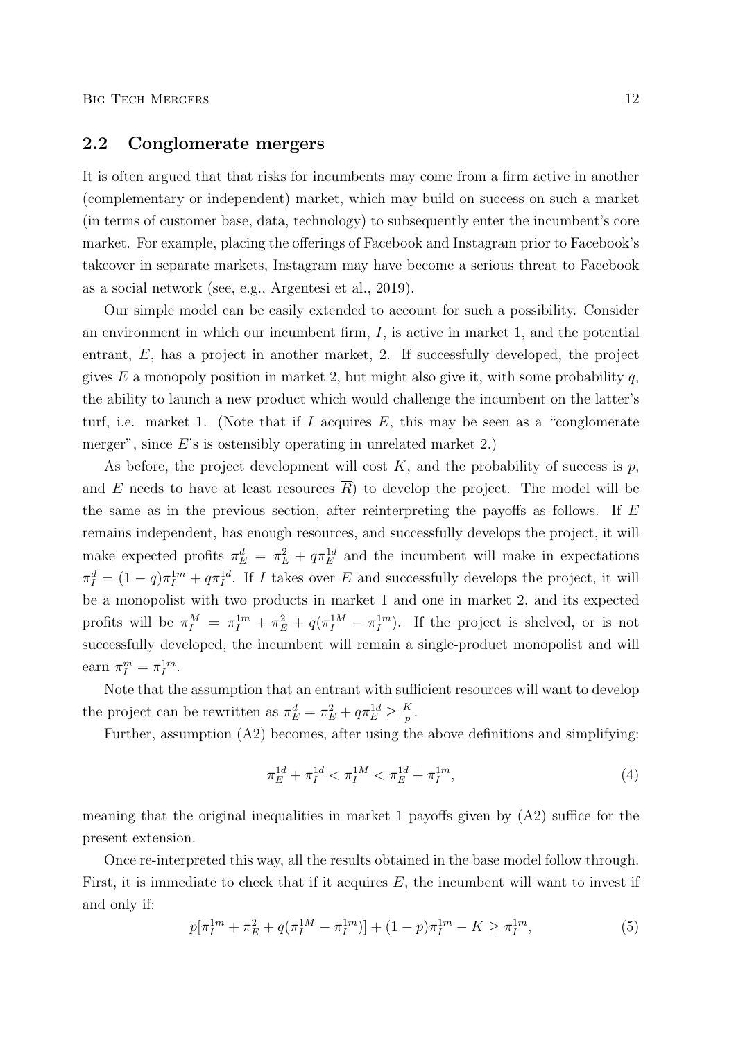### 2.2 Conglomerate mergers

It is often argued that that risks for incumbents may come from a firm active in another (complementary or independent) market, which may build on success on such a market (in terms of customer base, data, technology) to subsequently enter the incumbent's core market. For example, placing the offerings of Facebook and Instagram prior to Facebook's takeover in separate markets, Instagram may have become a serious threat to Facebook as a social network (see, e.g., Argentesi et al., 2019).

Our simple model can be easily extended to account for such a possibility. Consider an environment in which our incumbent firm,  $I$ , is active in market 1, and the potential entrant, E, has a project in another market, 2. If successfully developed, the project gives E a monopoly position in market 2, but might also give it, with some probability q, the ability to launch a new product which would challenge the incumbent on the latter's turf, i.e. market 1. (Note that if  $I$  acquires  $E$ , this may be seen as a "conglomerate merger", since  $E$ 's is ostensibly operating in unrelated market 2.)

As before, the project development will cost  $K$ , and the probability of success is  $p$ , and  $E$  needs to have at least resources  $R$ ) to develop the project. The model will be the same as in the previous section, after reinterpreting the payoffs as follows. If E remains independent, has enough resources, and successfully develops the project, it will make expected profits  $\pi_E^d = \pi_E^2 + q\pi_E^{1d}$  and the incumbent will make in expectations  $\pi_I^d = (1-q)\pi_I^{1m} + q\pi_I^{1d}$ . If I takes over E and successfully develops the project, it will be a monopolist with two products in market 1 and one in market 2, and its expected profits will be  $\pi_I^M = \pi_I^{1m} + \pi_E^2 + q(\pi_I^{1M} - \pi_I^{1m})$ . If the project is shelved, or is not successfully developed, the incumbent will remain a single-product monopolist and will earn  $\pi_I^m = \pi_I^{1m}$ .

Note that the assumption that an entrant with sufficient resources will want to develop the project can be rewritten as  $\pi_E^d = \pi_E^2 + q \pi_E^{1d} \ge \frac{K}{p}$  $\frac{K}{p}$  .

Further, assumption (A2) becomes, after using the above definitions and simplifying:

$$
\pi_E^{1d} + \pi_I^{1d} < \pi_I^{1M} < \pi_E^{1d} + \pi_I^{1m},\tag{4}
$$

meaning that the original inequalities in market 1 payoffs given by (A2) suffice for the present extension.

Once re-interpreted this way, all the results obtained in the base model follow through. First, it is immediate to check that if it acquires  $E$ , the incumbent will want to invest if and only if:

$$
p[\pi_I^{1m} + \pi_E^2 + q(\pi_I^{1M} - \pi_I^{1m})] + (1-p)\pi_I^{1m} - K \ge \pi_I^{1m},
$$
\n(5)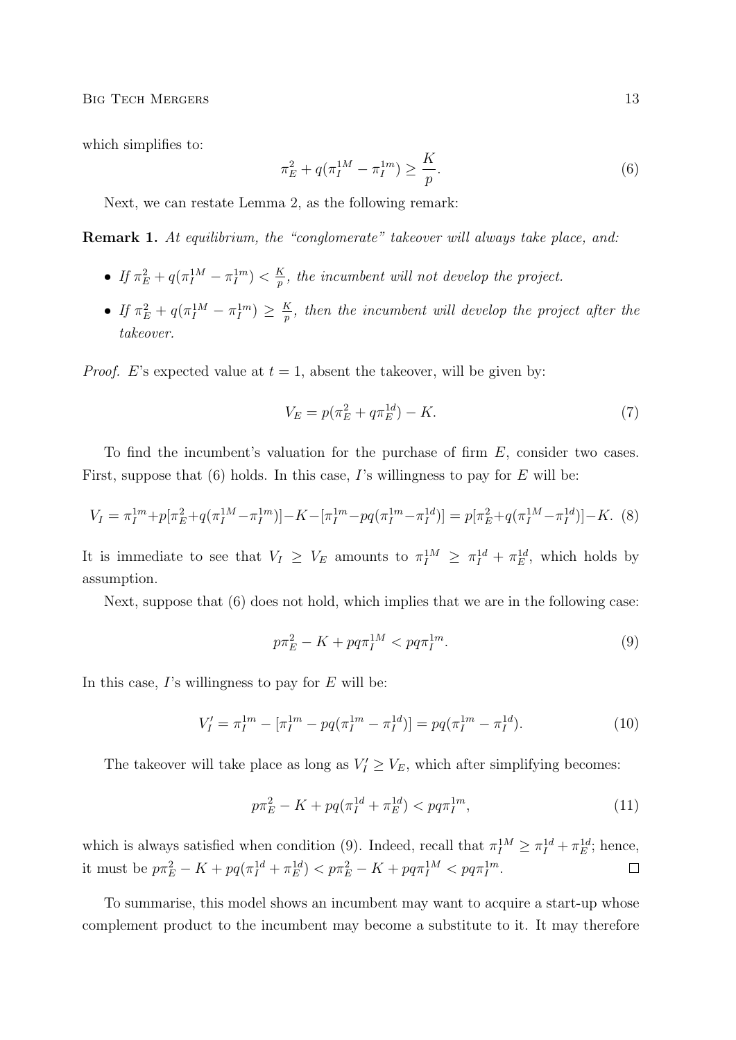BIG TECH MERGERS 13

which simplifies to:

$$
\pi_E^2 + q(\pi_I^{1M} - \pi_I^{1m}) \ge \frac{K}{p}.\tag{6}
$$

Next, we can restate Lemma 2, as the following remark:

Remark 1. At equilibrium, the "conglomerate" takeover will always take place, and:

- If  $\pi_E^2 + q(\pi_I^{1M} \pi_I^{1m}) < \frac{K}{p}$  $\frac{\kappa}{p}$ , the incumbent will not develop the project.
- $\bullet$  If  $\pi_E^2 + q(\pi_I^{1M} \pi_I^{1m}) \geq \frac{K}{p}$  $\frac{\kappa}{p},$  then the incumbent will develop the project after the takeover.

*Proof.* E's expected value at  $t = 1$ , absent the takeover, will be given by:

$$
V_E = p(\pi_E^2 + q\pi_E^{1d}) - K.
$$
\n(7)

To find the incumbent's valuation for the purchase of firm E, consider two cases. First, suppose that  $(6)$  holds. In this case, I's willingness to pay for E will be:

$$
V_I = \pi_I^{1m} + p[\pi_E^2 + q(\pi_I^{1M} - \pi_I^{1m})] - K - [\pi_I^{1m} - pq(\pi_I^{1m} - \pi_I^{1d})] = p[\pi_E^2 + q(\pi_I^{1M} - \pi_I^{1d})] - K. \tag{8}
$$

It is immediate to see that  $V_I \geq V_E$  amounts to  $\pi_I^{1M} \geq \pi_I^{1d} + \pi_E^{1d}$ , which holds by assumption.

Next, suppose that  $(6)$  does not hold, which implies that we are in the following case:

$$
p\pi_E^2 - K + pq\pi_I^{1M} < pq\pi_I^{1m}.\tag{9}
$$

In this case,  $\Gamma$ 's willingness to pay for  $E$  will be:

$$
V_I' = \pi_I^{1m} - [\pi_I^{1m} - pq(\pi_I^{1m} - \pi_I^{1d})] = pq(\pi_I^{1m} - \pi_I^{1d}).
$$
\n(10)

The takeover will take place as long as  $V'_I \geq V_E$ , which after simplifying becomes:

$$
p\pi_E^2 - K + pq(\pi_I^{1d} + \pi_E^{1d}) < pq\pi_I^{1m},\tag{11}
$$

which is always satisfied when condition (9). Indeed, recall that  $\pi_I^{1M} \geq \pi_I^{1d} + \pi_E^{1d}$ ; hence, it must be  $p\pi_E^2 - K + pq(\pi_I^{1d} + \pi_E^{1d}) < p\pi_E^2 - K + pq\pi_I^{1M} < pq\pi_I^{1m}$ .  $\Box$ 

To summarise, this model shows an incumbent may want to acquire a start-up whose complement product to the incumbent may become a substitute to it. It may therefore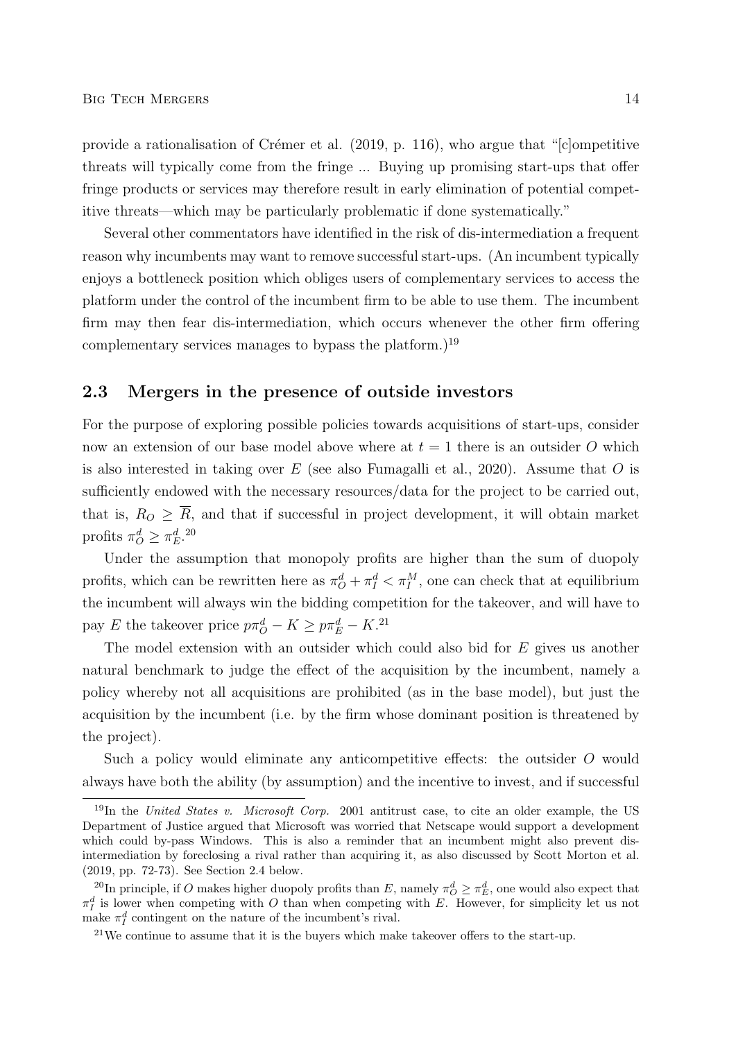provide a rationalisation of Crémer et al.  $(2019, p. 116)$ , who argue that "[c]ompetitive threats will typically come from the fringe ... Buying up promising start-ups that offer fringe products or services may therefore result in early elimination of potential competitive threats—which may be particularly problematic if done systematically."

Several other commentators have identified in the risk of dis-intermediation a frequent reason why incumbents may want to remove successful start-ups. (An incumbent typically enjoys a bottleneck position which obliges users of complementary services to access the platform under the control of the incumbent firm to be able to use them. The incumbent firm may then fear dis-intermediation, which occurs whenever the other firm offering complementary services manages to bypass the platform.)<sup>19</sup>

### 2.3 Mergers in the presence of outside investors

For the purpose of exploring possible policies towards acquisitions of start-ups, consider now an extension of our base model above where at  $t = 1$  there is an outsider O which is also interested in taking over  $E$  (see also Fumagalli et al., 2020). Assume that  $O$  is sufficiently endowed with the necessary resources/data for the project to be carried out, that is,  $R_O \geq \overline{R}$ , and that if successful in project development, it will obtain market profits  $\pi_Q^d \geq \pi_E^d$ .<sup>20</sup>

Under the assumption that monopoly profits are higher than the sum of duopoly profits, which can be rewritten here as  $\pi_O^d + \pi_I^d < \pi_I^M$ , one can check that at equilibrium the incumbent will always win the bidding competition for the takeover, and will have to pay E the takeover price  $p\pi^d - K \geq p\pi^d - K^{21}$ 

The model extension with an outsider which could also bid for E gives us another natural benchmark to judge the effect of the acquisition by the incumbent, namely a policy whereby not all acquisitions are prohibited (as in the base model), but just the acquisition by the incumbent (i.e. by the firm whose dominant position is threatened by the project).

Such a policy would eliminate any anticompetitive effects: the outsider O would always have both the ability (by assumption) and the incentive to invest, and if successful

<sup>&</sup>lt;sup>19</sup>In the United States v. Microsoft Corp. 2001 antitrust case, to cite an older example, the US Department of Justice argued that Microsoft was worried that Netscape would support a development which could by-pass Windows. This is also a reminder that an incumbent might also prevent disintermediation by foreclosing a rival rather than acquiring it, as also discussed by Scott Morton et al. (2019, pp. 72-73). See Section 2.4 below.

<sup>&</sup>lt;sup>20</sup>In principle, if O makes higher duopoly profits than E, namely  $\pi^d_{\mathcal{O}} \geq \pi^d_E$ , one would also expect that  $\pi_I^d$  is lower when competing with O than when competing with E. However, for simplicity let us not make  $\pi_I^d$  contingent on the nature of the incumbent's rival.

 $21$ We continue to assume that it is the buyers which make takeover offers to the start-up.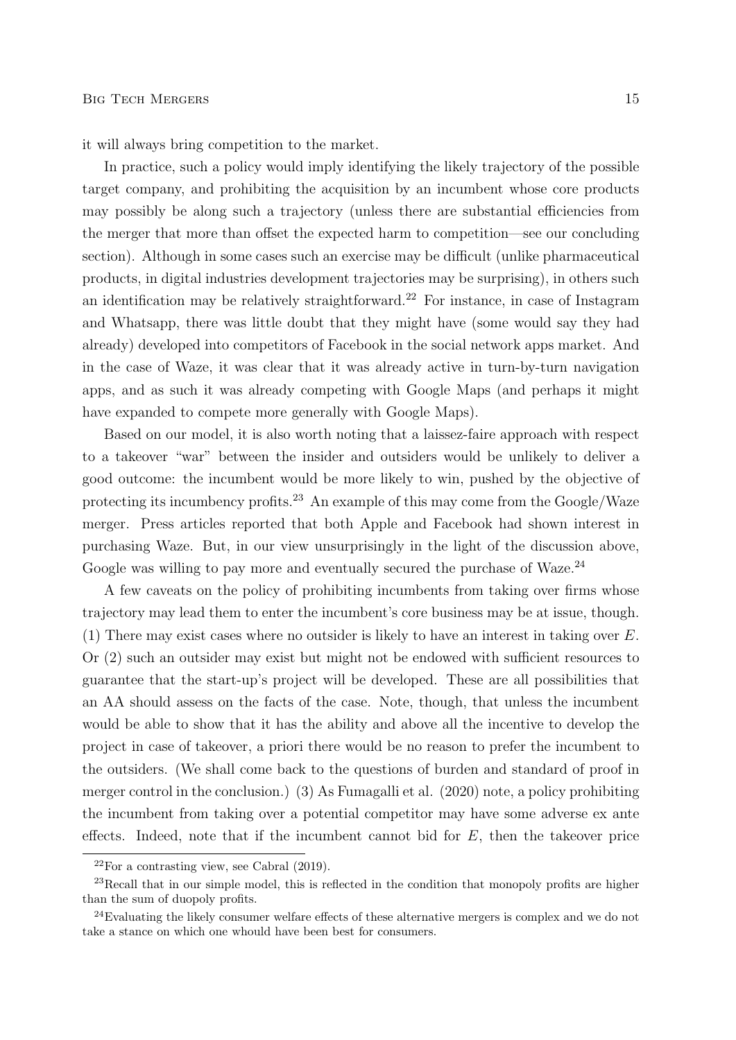it will always bring competition to the market.

In practice, such a policy would imply identifying the likely trajectory of the possible target company, and prohibiting the acquisition by an incumbent whose core products may possibly be along such a trajectory (unless there are substantial efficiencies from the merger that more than offset the expected harm to competition—see our concluding section). Although in some cases such an exercise may be difficult (unlike pharmaceutical products, in digital industries development trajectories may be surprising), in others such an identification may be relatively straightforward.<sup>22</sup> For instance, in case of Instagram and Whatsapp, there was little doubt that they might have (some would say they had already) developed into competitors of Facebook in the social network apps market. And in the case of Waze, it was clear that it was already active in turn-by-turn navigation apps, and as such it was already competing with Google Maps (and perhaps it might have expanded to compete more generally with Google Maps).

Based on our model, it is also worth noting that a laissez-faire approach with respect to a takeover "war" between the insider and outsiders would be unlikely to deliver a good outcome: the incumbent would be more likely to win, pushed by the objective of protecting its incumbency profits.<sup>23</sup> An example of this may come from the Google/Waze merger. Press articles reported that both Apple and Facebook had shown interest in purchasing Waze. But, in our view unsurprisingly in the light of the discussion above, Google was willing to pay more and eventually secured the purchase of Waze.<sup>24</sup>

A few caveats on the policy of prohibiting incumbents from taking over firms whose trajectory may lead them to enter the incumbent's core business may be at issue, though. (1) There may exist cases where no outsider is likely to have an interest in taking over E. Or (2) such an outsider may exist but might not be endowed with sufficient resources to guarantee that the start-up's project will be developed. These are all possibilities that an AA should assess on the facts of the case. Note, though, that unless the incumbent would be able to show that it has the ability and above all the incentive to develop the project in case of takeover, a priori there would be no reason to prefer the incumbent to the outsiders. (We shall come back to the questions of burden and standard of proof in merger control in the conclusion.) (3) As Fumagalli et al. (2020) note, a policy prohibiting the incumbent from taking over a potential competitor may have some adverse ex ante effects. Indeed, note that if the incumbent cannot bid for  $E$ , then the takeover price

 $22$ For a contrasting view, see Cabral (2019).

 $^{23}$ Recall that in our simple model, this is reflected in the condition that monopoly profits are higher than the sum of duopoly profits.

<sup>24</sup>Evaluating the likely consumer welfare effects of these alternative mergers is complex and we do not take a stance on which one whould have been best for consumers.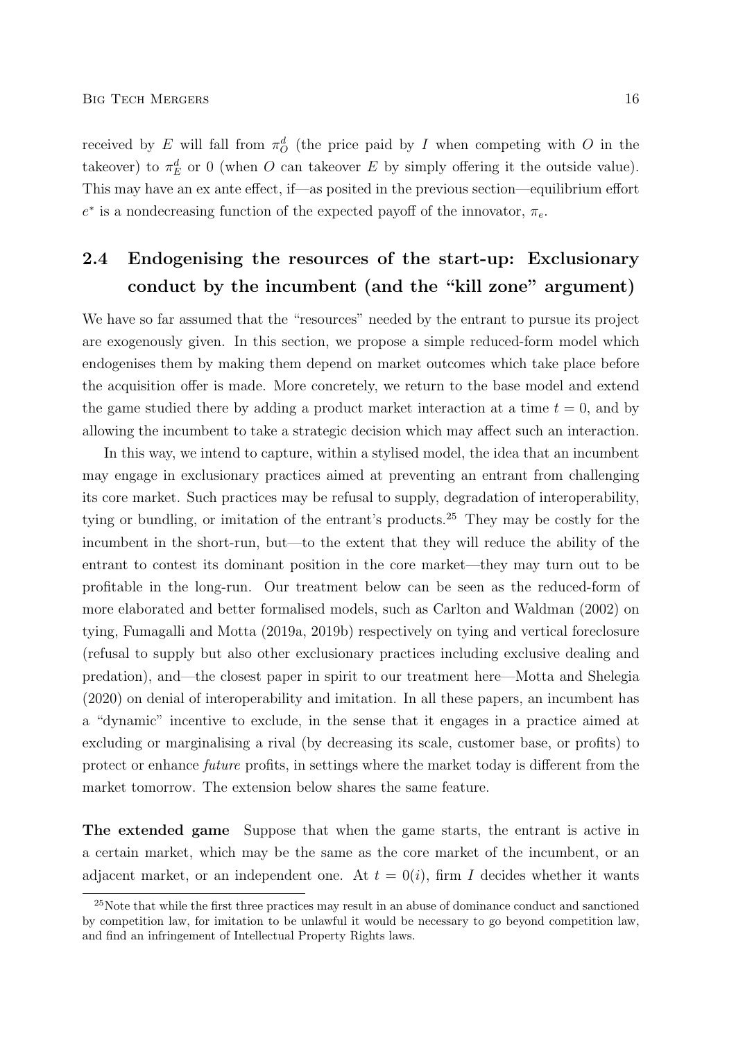received by E will fall from  $\pi^d$  (the price paid by I when competing with O in the takeover) to  $\pi_E^d$  or 0 (when O can takeover E by simply offering it the outside value). This may have an ex ante effect, if—as posited in the previous section—equilibrium effort  $e^*$  is a nondecreasing function of the expected payoff of the innovator,  $\pi_e$ .

# 2.4 Endogenising the resources of the start-up: Exclusionary conduct by the incumbent (and the "kill zone" argument)

We have so far assumed that the "resources" needed by the entrant to pursue its project are exogenously given. In this section, we propose a simple reduced-form model which endogenises them by making them depend on market outcomes which take place before the acquisition offer is made. More concretely, we return to the base model and extend the game studied there by adding a product market interaction at a time  $t = 0$ , and by allowing the incumbent to take a strategic decision which may affect such an interaction.

In this way, we intend to capture, within a stylised model, the idea that an incumbent may engage in exclusionary practices aimed at preventing an entrant from challenging its core market. Such practices may be refusal to supply, degradation of interoperability, tying or bundling, or imitation of the entrant's products.<sup>25</sup> They may be costly for the incumbent in the short-run, but—to the extent that they will reduce the ability of the entrant to contest its dominant position in the core market—they may turn out to be profitable in the long-run. Our treatment below can be seen as the reduced-form of more elaborated and better formalised models, such as Carlton and Waldman (2002) on tying, Fumagalli and Motta (2019a, 2019b) respectively on tying and vertical foreclosure (refusal to supply but also other exclusionary practices including exclusive dealing and predation), and—the closest paper in spirit to our treatment here—Motta and Shelegia (2020) on denial of interoperability and imitation. In all these papers, an incumbent has a "dynamic" incentive to exclude, in the sense that it engages in a practice aimed at excluding or marginalising a rival (by decreasing its scale, customer base, or profits) to protect or enhance future profits, in settings where the market today is different from the market tomorrow. The extension below shares the same feature.

The extended game Suppose that when the game starts, the entrant is active in a certain market, which may be the same as the core market of the incumbent, or an adjacent market, or an independent one. At  $t = O(i)$ , firm I decides whether it wants

<sup>&</sup>lt;sup>25</sup>Note that while the first three practices may result in an abuse of dominance conduct and sanctioned by competition law, for imitation to be unlawful it would be necessary to go beyond competition law, and find an infringement of Intellectual Property Rights laws.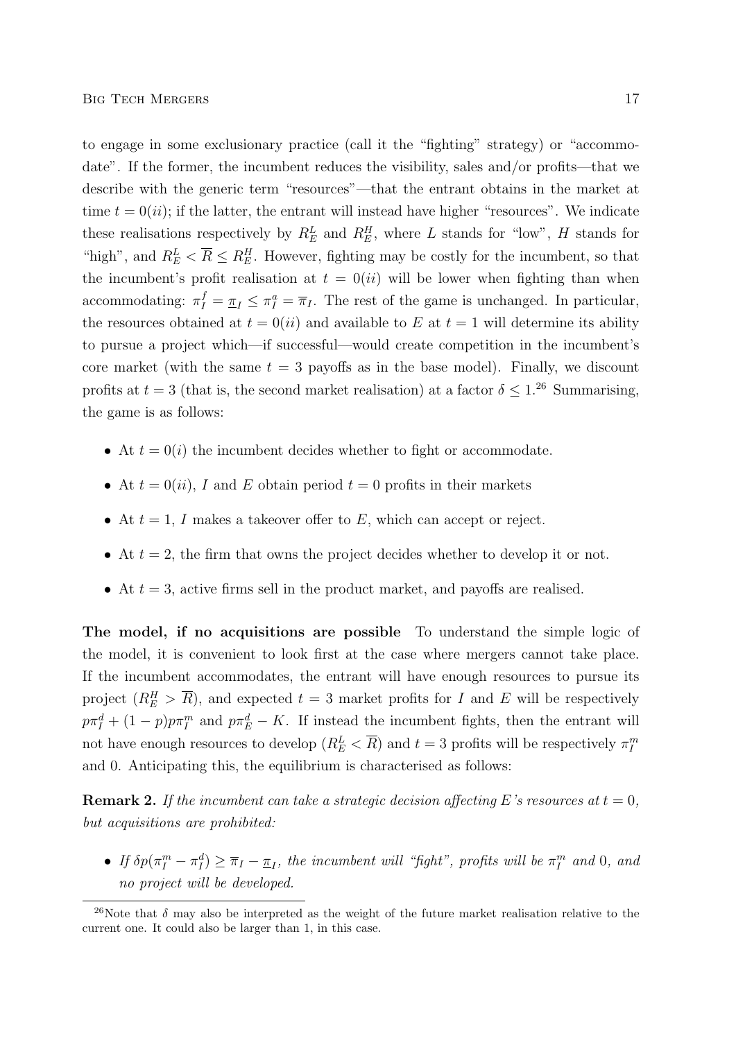to engage in some exclusionary practice (call it the "fighting" strategy) or "accommodate". If the former, the incumbent reduces the visibility, sales and/or profits—that we describe with the generic term "resources"—that the entrant obtains in the market at time  $t = 0(ii)$ ; if the latter, the entrant will instead have higher "resources". We indicate these realisations respectively by  $R_E^L$  and  $R_E^H$ , where L stands for "low", H stands for "high", and  $R_E^L < \overline{R} \leq R_E^H$ . However, fighting may be costly for the incumbent, so that the incumbent's profit realisation at  $t = 0(ii)$  will be lower when fighting than when accommodating:  $\pi_I^f = \pi_I \leq \pi_I^a = \overline{\pi}_I$ . The rest of the game is unchanged. In particular, the resources obtained at  $t = 0(ii)$  and available to E at  $t = 1$  will determine its ability to pursue a project which—if successful—would create competition in the incumbent's core market (with the same  $t = 3$  payoffs as in the base model). Finally, we discount profits at  $t = 3$  (that is, the second market realisation) at a factor  $\delta \leq 1.^{26}$  Summarising, the game is as follows:

- At  $t = 0(i)$  the incumbent decides whether to fight or accommodate.
- At  $t = 0(ii)$ , I and E obtain period  $t = 0$  profits in their markets
- At  $t = 1$ , I makes a takeover offer to E, which can accept or reject.
- At  $t = 2$ , the firm that owns the project decides whether to develop it or not.
- At  $t = 3$ , active firms sell in the product market, and payoffs are realised.

The model, if no acquisitions are possible To understand the simple logic of the model, it is convenient to look first at the case where mergers cannot take place. If the incumbent accommodates, the entrant will have enough resources to pursue its project  $(R_E^H > \overline{R})$ , and expected  $t = 3$  market profits for I and E will be respectively  $p\pi_I^d + (1-p)p\pi_I^m$  and  $p\pi_E^d - K$ . If instead the incumbent fights, then the entrant will not have enough resources to develop  $(R_E^L < \overline{R})$  and  $t = 3$  profits will be respectively  $\pi_I^m$ and 0. Anticipating this, the equilibrium is characterised as follows:

**Remark 2.** If the incumbent can take a strategic decision affecting E's resources at  $t = 0$ , but acquisitions are prohibited:

• If  $\delta p(\pi_I^m - \pi_I^d) \ge \overline{\pi}_I - \underline{\pi}_I$ , the incumbent will "fight", profits will be  $\pi_I^m$  and 0, and no project will be developed.

<sup>&</sup>lt;sup>26</sup>Note that  $\delta$  may also be interpreted as the weight of the future market realisation relative to the current one. It could also be larger than 1, in this case.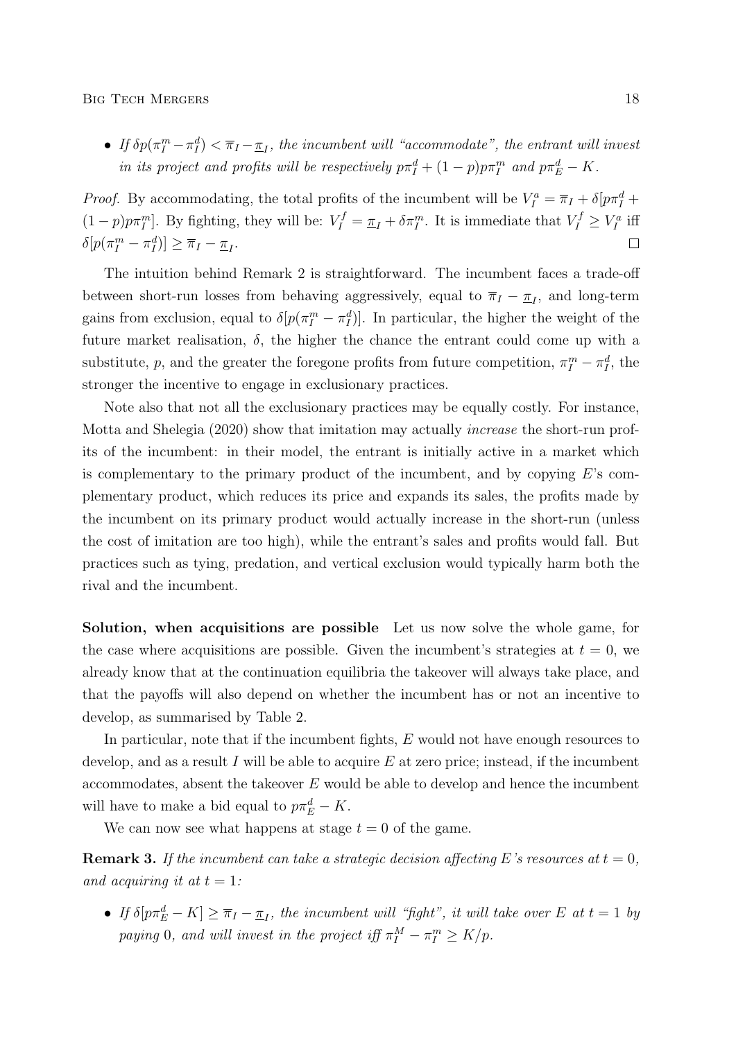• If  $\delta p(\pi_I^m - \pi_I^d) < \overline{\pi}_I - \underline{\pi}_I$ , the incumbent will "accommodate", the entrant will invest in its project and profits will be respectively  $p\pi_I^d + (1-p)p\pi_I^m$  and  $p\pi_E^d - K$ .

*Proof.* By accommodating, the total profits of the incumbent will be  $V_I^a = \overline{\pi}_I + \delta[p\pi_I^d +$  $(1-p)p\pi_I^m$ . By fighting, they will be:  $V_I^f = \underline{\pi}_I + \delta \pi_I^m$ . It is immediate that  $V_I^f \geq V_I^a$  iff  $\delta[p(\pi_I^m - \pi_I^d)] \geq \overline{\pi}_I - \underline{\pi}_I.$  $\Box$ 

The intuition behind Remark 2 is straightforward. The incumbent faces a trade-off between short-run losses from behaving aggressively, equal to  $\overline{\pi}_I - \underline{\pi}_I$ , and long-term gains from exclusion, equal to  $\delta[p(\pi_I^m - \pi_I^d)]$ . In particular, the higher the weight of the future market realisation,  $\delta$ , the higher the chance the entrant could come up with a substitute, p, and the greater the foregone profits from future competition,  $\pi_I^m - \pi_I^d$ , the stronger the incentive to engage in exclusionary practices.

Note also that not all the exclusionary practices may be equally costly. For instance, Motta and Shelegia (2020) show that imitation may actually increase the short-run profits of the incumbent: in their model, the entrant is initially active in a market which is complementary to the primary product of the incumbent, and by copying  $E$ 's complementary product, which reduces its price and expands its sales, the profits made by the incumbent on its primary product would actually increase in the short-run (unless the cost of imitation are too high), while the entrant's sales and profits would fall. But practices such as tying, predation, and vertical exclusion would typically harm both the rival and the incumbent.

Solution, when acquisitions are possible Let us now solve the whole game, for the case where acquisitions are possible. Given the incumbent's strategies at  $t = 0$ , we already know that at the continuation equilibria the takeover will always take place, and that the payoffs will also depend on whether the incumbent has or not an incentive to develop, as summarised by Table 2.

In particular, note that if the incumbent fights, E would not have enough resources to develop, and as a result I will be able to acquire  $E$  at zero price; instead, if the incumbent accommodates, absent the takeover  $E$  would be able to develop and hence the incumbent will have to make a bid equal to  $p\pi_E^d - K$ .

We can now see what happens at stage  $t = 0$  of the game.

**Remark 3.** If the incumbent can take a strategic decision affecting E's resources at  $t = 0$ , and acquiring it at  $t = 1$ :

• If  $\delta[ p \pi_E^d - K ] \geq \overline{\pi}_I - \underline{\pi}_I$ , the incumbent will "fight", it will take over E at  $t = 1$  by paying 0, and will invest in the project iff  $\pi_I^M - \pi_I^m \geq K/p$ .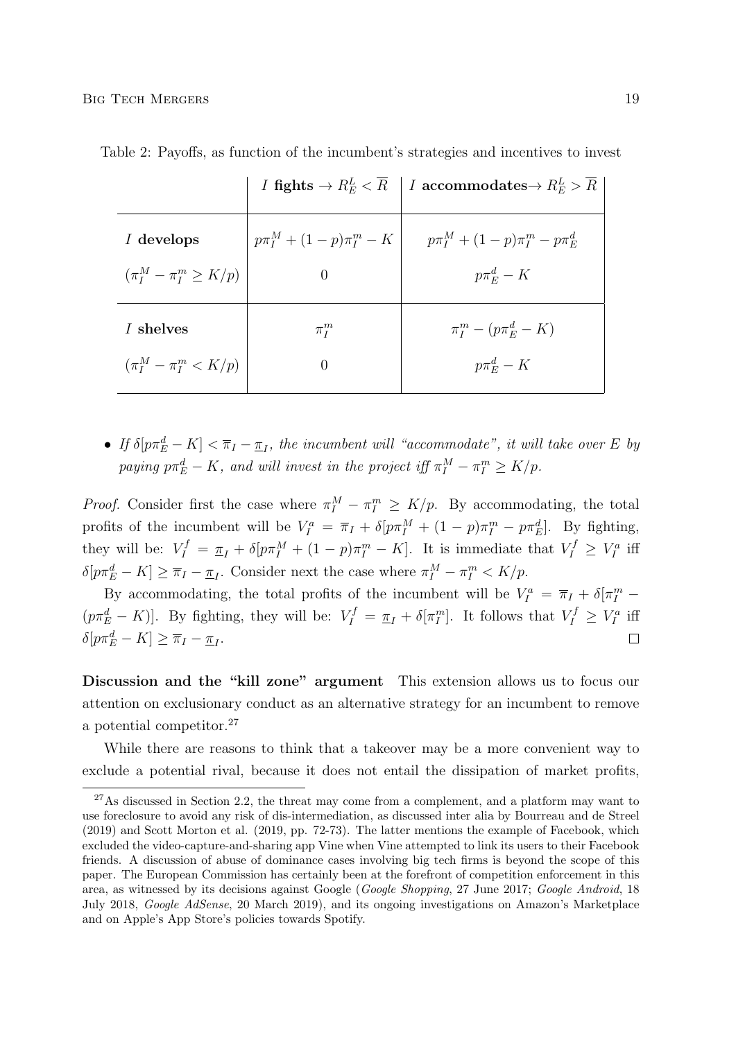|                                |                               | <i>I</i> fights $\rightarrow R_E^L \lt \overline{R}$   <i>I</i> accommodates $\rightarrow R_E^L \gt \overline{R}$ |
|--------------------------------|-------------------------------|-------------------------------------------------------------------------------------------------------------------|
| I develops                     | $p\pi_I^M + (1-p)\pi_I^m - K$ | $p\pi_{I}^{M} + (1-p)\pi_{I}^{m} - p\pi_{E}^{d}$                                                                  |
| $(\pi_I^M - \pi_I^m \geq K/p)$ |                               | $p\pi_E^d - K$                                                                                                    |
| I shelves                      | $\pi_I^m$                     | $\pi_I^m - (p\pi_E^d - K)$                                                                                        |
| $(\pi_I^M - \pi_I^m < K/p)$    | $\left( \right)$              | $p\pi_E^d - K$                                                                                                    |

Table 2: Payoffs, as function of the incumbent's strategies and incentives to invest

• If  $\delta[p\pi_E^d - K] < \overline{\pi}_I - \underline{\pi}_I$ , the incumbent will "accommodate", it will take over E by paying  $p\pi_E^d - K$ , and will invest in the project iff  $\pi_I^M - \pi_I^m \geq K/p$ .

*Proof.* Consider first the case where  $\pi_I^M - \pi_I^m \ge K/p$ . By accommodating, the total profits of the incumbent will be  $V_I^a = \overline{\pi}_I + \delta[p\pi_I^M + (1-p)\pi_I^m - p\pi_E^d]$ . By fighting, they will be:  $V_I^f = \underline{\pi}_I + \delta[p\pi_I^M + (1-p)\pi_I^m - K]$ . It is immediate that  $V_I^f \geq V_I^a$  iff  $\delta[p\pi_E^d - K] \geq \overline{\pi}_I - \underline{\pi}_I$ . Consider next the case where  $\pi_I^M - \pi_I^m < K/p$ .

By accommodating, the total profits of the incumbent will be  $V_I^a = \overline{\pi}_I + \delta[\pi_I^m -]$  $(p\pi_E^d - K)$ . By fighting, they will be:  $V_I^f = \pi_I + \delta[\pi_I^m]$ . It follows that  $V_I^f \geq V_I^a$  iff  $\delta[p\pi_E^d - K] \geq \overline{\pi}_I - \underline{\pi}_I.$  $\Box$ 

Discussion and the "kill zone" argument This extension allows us to focus our attention on exclusionary conduct as an alternative strategy for an incumbent to remove a potential competitor.<sup>27</sup>

While there are reasons to think that a takeover may be a more convenient way to exclude a potential rival, because it does not entail the dissipation of market profits,

 $^{27}$ As discussed in Section 2.2, the threat may come from a complement, and a platform may want to use foreclosure to avoid any risk of dis-intermediation, as discussed inter alia by Bourreau and de Streel (2019) and Scott Morton et al. (2019, pp. 72-73). The latter mentions the example of Facebook, which excluded the video-capture-and-sharing app Vine when Vine attempted to link its users to their Facebook friends. A discussion of abuse of dominance cases involving big tech firms is beyond the scope of this paper. The European Commission has certainly been at the forefront of competition enforcement in this area, as witnessed by its decisions against Google (Google Shopping, 27 June 2017; Google Android, 18 July 2018, Google AdSense, 20 March 2019), and its ongoing investigations on Amazon's Marketplace and on Apple's App Store's policies towards Spotify.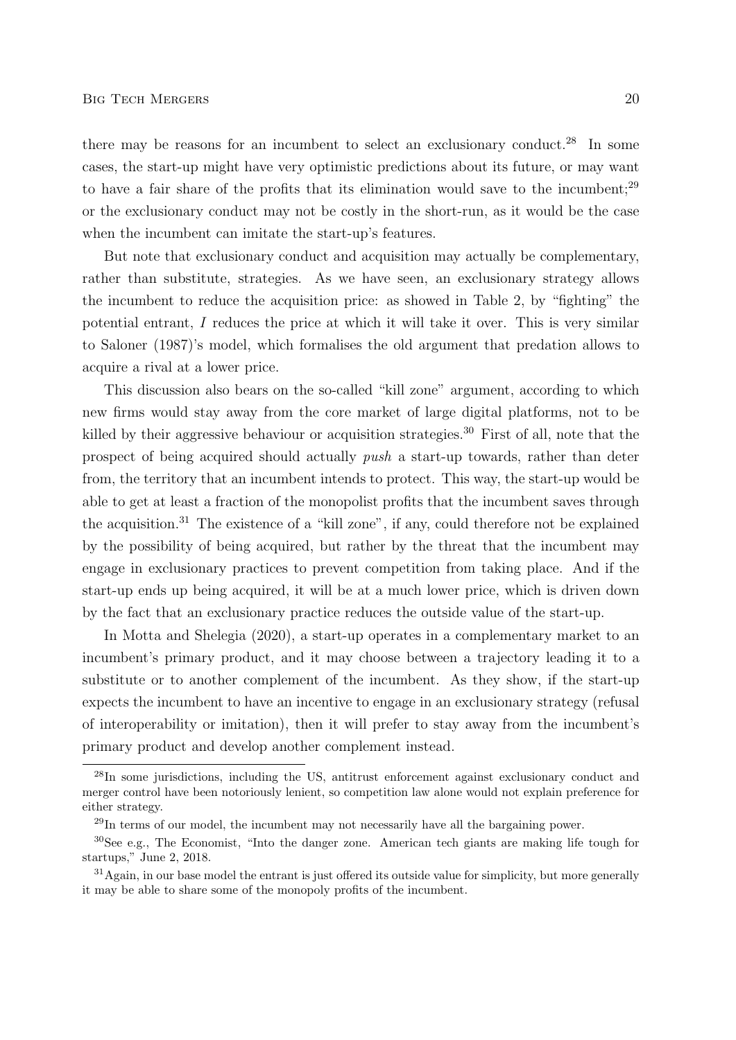there may be reasons for an incumbent to select an exclusionary conduct.<sup>28</sup> In some cases, the start-up might have very optimistic predictions about its future, or may want to have a fair share of the profits that its elimination would save to the incumbent;<sup>29</sup> or the exclusionary conduct may not be costly in the short-run, as it would be the case when the incumbent can imitate the start-up's features.

But note that exclusionary conduct and acquisition may actually be complementary, rather than substitute, strategies. As we have seen, an exclusionary strategy allows the incumbent to reduce the acquisition price: as showed in Table 2, by "fighting" the potential entrant, I reduces the price at which it will take it over. This is very similar to Saloner (1987)'s model, which formalises the old argument that predation allows to acquire a rival at a lower price.

This discussion also bears on the so-called "kill zone" argument, according to which new firms would stay away from the core market of large digital platforms, not to be killed by their aggressive behaviour or acquisition strategies.<sup>30</sup> First of all, note that the prospect of being acquired should actually push a start-up towards, rather than deter from, the territory that an incumbent intends to protect. This way, the start-up would be able to get at least a fraction of the monopolist profits that the incumbent saves through the acquisition.<sup>31</sup> The existence of a "kill zone", if any, could therefore not be explained by the possibility of being acquired, but rather by the threat that the incumbent may engage in exclusionary practices to prevent competition from taking place. And if the start-up ends up being acquired, it will be at a much lower price, which is driven down by the fact that an exclusionary practice reduces the outside value of the start-up.

In Motta and Shelegia (2020), a start-up operates in a complementary market to an incumbent's primary product, and it may choose between a trajectory leading it to a substitute or to another complement of the incumbent. As they show, if the start-up expects the incumbent to have an incentive to engage in an exclusionary strategy (refusal of interoperability or imitation), then it will prefer to stay away from the incumbent's primary product and develop another complement instead.

<sup>28</sup>In some jurisdictions, including the US, antitrust enforcement against exclusionary conduct and merger control have been notoriously lenient, so competition law alone would not explain preference for either strategy.

<sup>29</sup>In terms of our model, the incumbent may not necessarily have all the bargaining power.

<sup>30</sup>See e.g., The Economist, "Into the danger zone. American tech giants are making life tough for startups," June 2, 2018.

<sup>&</sup>lt;sup>31</sup>Again, in our base model the entrant is just offered its outside value for simplicity, but more generally it may be able to share some of the monopoly profits of the incumbent.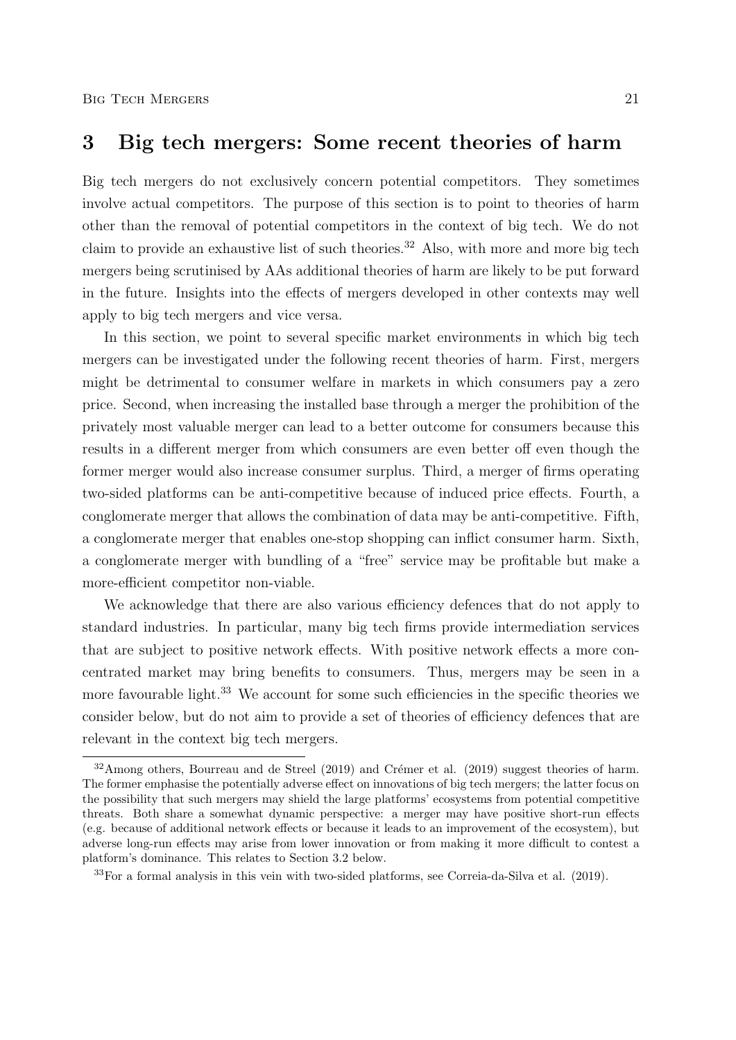### 3 Big tech mergers: Some recent theories of harm

Big tech mergers do not exclusively concern potential competitors. They sometimes involve actual competitors. The purpose of this section is to point to theories of harm other than the removal of potential competitors in the context of big tech. We do not claim to provide an exhaustive list of such theories.<sup>32</sup> Also, with more and more big tech mergers being scrutinised by AAs additional theories of harm are likely to be put forward in the future. Insights into the effects of mergers developed in other contexts may well apply to big tech mergers and vice versa.

In this section, we point to several specific market environments in which big tech mergers can be investigated under the following recent theories of harm. First, mergers might be detrimental to consumer welfare in markets in which consumers pay a zero price. Second, when increasing the installed base through a merger the prohibition of the privately most valuable merger can lead to a better outcome for consumers because this results in a different merger from which consumers are even better off even though the former merger would also increase consumer surplus. Third, a merger of firms operating two-sided platforms can be anti-competitive because of induced price effects. Fourth, a conglomerate merger that allows the combination of data may be anti-competitive. Fifth, a conglomerate merger that enables one-stop shopping can inflict consumer harm. Sixth, a conglomerate merger with bundling of a "free" service may be profitable but make a more-efficient competitor non-viable.

We acknowledge that there are also various efficiency defences that do not apply to standard industries. In particular, many big tech firms provide intermediation services that are subject to positive network effects. With positive network effects a more concentrated market may bring benefits to consumers. Thus, mergers may be seen in a more favourable light.<sup>33</sup> We account for some such efficiencies in the specific theories we consider below, but do not aim to provide a set of theories of efficiency defences that are relevant in the context big tech mergers.

 $32$ Among others, Bourreau and de Streel (2019) and Crémer et al. (2019) suggest theories of harm. The former emphasise the potentially adverse effect on innovations of big tech mergers; the latter focus on the possibility that such mergers may shield the large platforms' ecosystems from potential competitive threats. Both share a somewhat dynamic perspective: a merger may have positive short-run effects (e.g. because of additional network effects or because it leads to an improvement of the ecosystem), but adverse long-run effects may arise from lower innovation or from making it more difficult to contest a platform's dominance. This relates to Section 3.2 below.

<sup>33</sup>For a formal analysis in this vein with two-sided platforms, see Correia-da-Silva et al. (2019).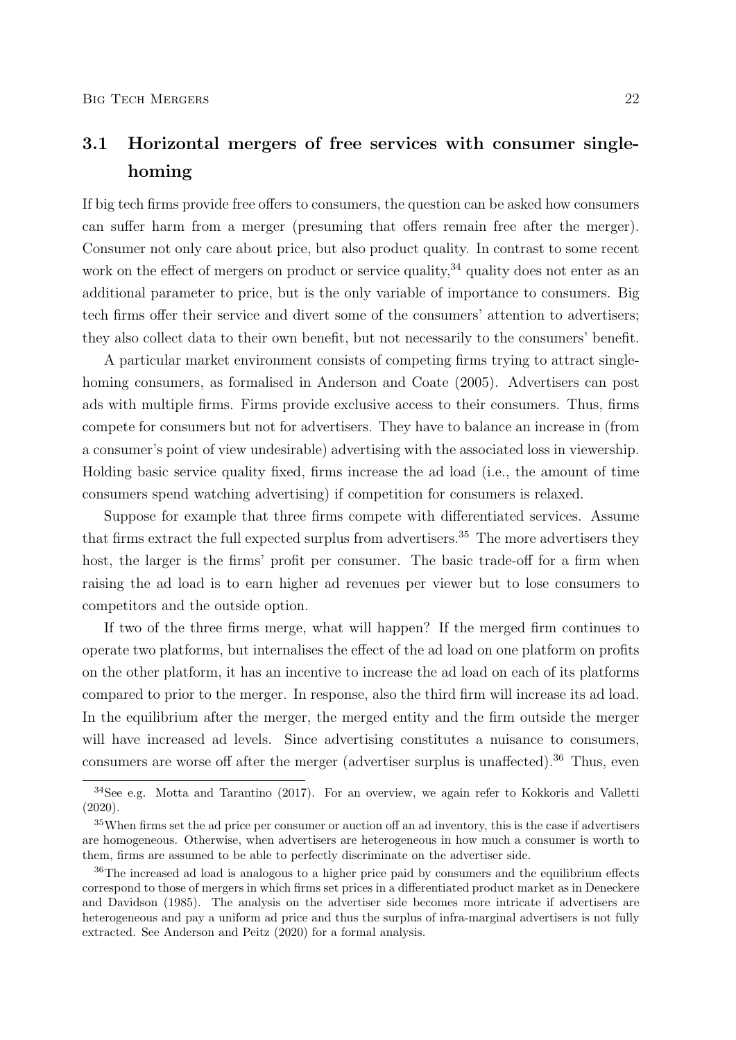# 3.1 Horizontal mergers of free services with consumer singlehoming

If big tech firms provide free offers to consumers, the question can be asked how consumers can suffer harm from a merger (presuming that offers remain free after the merger). Consumer not only care about price, but also product quality. In contrast to some recent work on the effect of mergers on product or service quality,<sup>34</sup> quality does not enter as an additional parameter to price, but is the only variable of importance to consumers. Big tech firms offer their service and divert some of the consumers' attention to advertisers; they also collect data to their own benefit, but not necessarily to the consumers' benefit.

A particular market environment consists of competing firms trying to attract singlehoming consumers, as formalised in Anderson and Coate (2005). Advertisers can post ads with multiple firms. Firms provide exclusive access to their consumers. Thus, firms compete for consumers but not for advertisers. They have to balance an increase in (from a consumer's point of view undesirable) advertising with the associated loss in viewership. Holding basic service quality fixed, firms increase the ad load (i.e., the amount of time consumers spend watching advertising) if competition for consumers is relaxed.

Suppose for example that three firms compete with differentiated services. Assume that firms extract the full expected surplus from advertisers.<sup>35</sup> The more advertisers they host, the larger is the firms' profit per consumer. The basic trade-off for a firm when raising the ad load is to earn higher ad revenues per viewer but to lose consumers to competitors and the outside option.

If two of the three firms merge, what will happen? If the merged firm continues to operate two platforms, but internalises the effect of the ad load on one platform on profits on the other platform, it has an incentive to increase the ad load on each of its platforms compared to prior to the merger. In response, also the third firm will increase its ad load. In the equilibrium after the merger, the merged entity and the firm outside the merger will have increased ad levels. Since advertising constitutes a nuisance to consumers, consumers are worse off after the merger (advertiser surplus is unaffected).<sup>36</sup> Thus, even

<sup>&</sup>lt;sup>34</sup>See e.g. Motta and Tarantino (2017). For an overview, we again refer to Kokkoris and Valletti (2020).

<sup>&</sup>lt;sup>35</sup>When firms set the ad price per consumer or auction off an ad inventory, this is the case if advertisers are homogeneous. Otherwise, when advertisers are heterogeneous in how much a consumer is worth to them, firms are assumed to be able to perfectly discriminate on the advertiser side.

<sup>36</sup>The increased ad load is analogous to a higher price paid by consumers and the equilibrium effects correspond to those of mergers in which firms set prices in a differentiated product market as in Deneckere and Davidson (1985). The analysis on the advertiser side becomes more intricate if advertisers are heterogeneous and pay a uniform ad price and thus the surplus of infra-marginal advertisers is not fully extracted. See Anderson and Peitz (2020) for a formal analysis.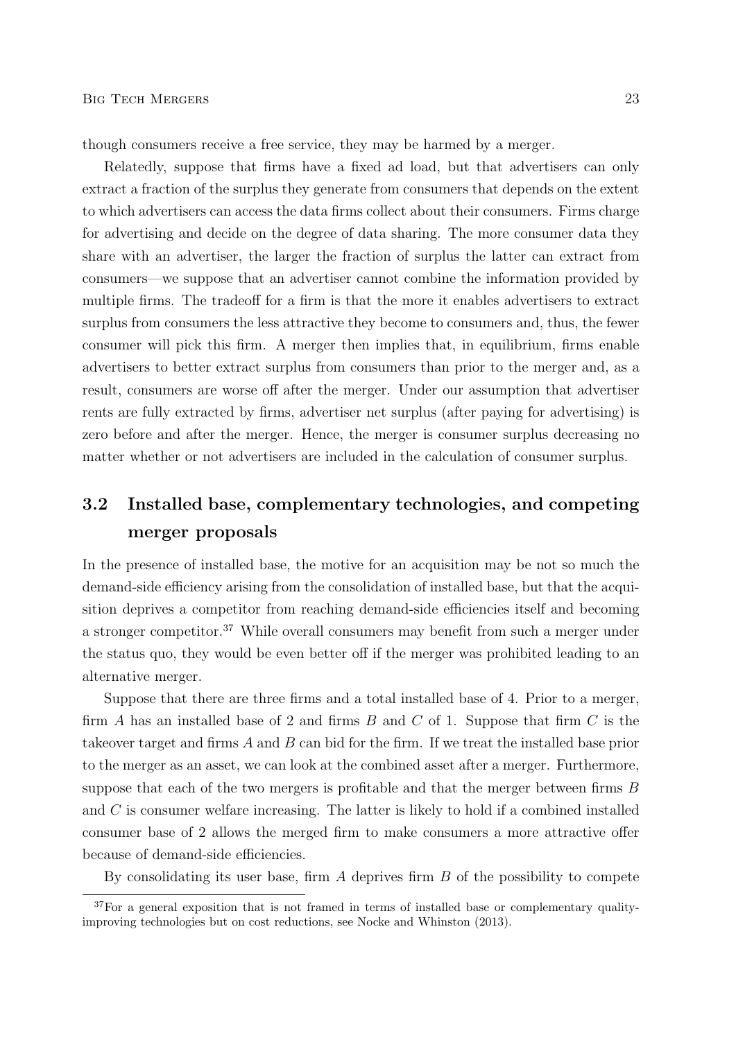though consumers receive a free service, they may be harmed by a merger.

Relatedly, suppose that firms have a fixed ad load, but that advertisers can only extract a fraction of the surplus they generate from consumers that depends on the extent to which advertisers can access the data firms collect about their consumers. Firms charge for advertising and decide on the degree of data sharing. The more consumer data they share with an advertiser, the larger the fraction of surplus the latter can extract from consumers—we suppose that an advertiser cannot combine the information provided by multiple firms. The tradeoff for a firm is that the more it enables advertisers to extract surplus from consumers the less attractive they become to consumers and, thus, the fewer consumer will pick this firm. A merger then implies that, in equilibrium, firms enable advertisers to better extract surplus from consumers than prior to the merger and, as a result, consumers are worse off after the merger. Under our assumption that advertiser rents are fully extracted by firms, advertiser net surplus (after paying for advertising) is zero before and after the merger. Hence, the merger is consumer surplus decreasing no matter whether or not advertisers are included in the calculation of consumer surplus.

# 3.2 Installed base, complementary technologies, and competing merger proposals

In the presence of installed base, the motive for an acquisition may be not so much the demand-side efficiency arising from the consolidation of installed base, but that the acquisition deprives a competitor from reaching demand-side efficiencies itself and becoming a stronger competitor.<sup>37</sup> While overall consumers may benefit from such a merger under the status quo, they would be even better off if the merger was prohibited leading to an alternative merger.

Suppose that there are three firms and a total installed base of 4. Prior to a merger, firm A has an installed base of 2 and firms  $B$  and  $C$  of 1. Suppose that firm  $C$  is the takeover target and firms  $A$  and  $B$  can bid for the firm. If we treat the installed base prior to the merger as an asset, we can look at the combined asset after a merger. Furthermore, suppose that each of the two mergers is profitable and that the merger between firms  $B$ and C is consumer welfare increasing. The latter is likely to hold if a combined installed consumer base of 2 allows the merged firm to make consumers a more attractive offer because of demand-side efficiencies.

By consolidating its user base, firm  $A$  deprives firm  $B$  of the possibility to compete

<sup>&</sup>lt;sup>37</sup>For a general exposition that is not framed in terms of installed base or complementary qualityimproving technologies but on cost reductions, see Nocke and Whinston (2013).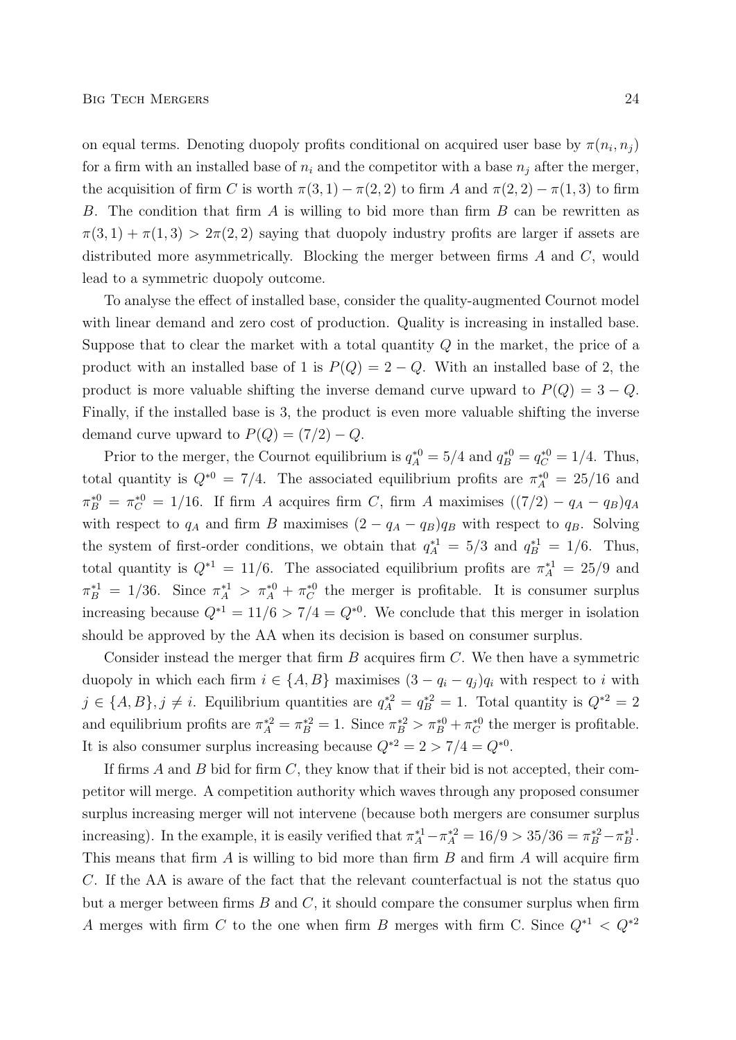on equal terms. Denoting duopoly profits conditional on acquired user base by  $\pi(n_i, n_j)$ for a firm with an installed base of  $n_i$  and the competitor with a base  $n_j$  after the merger, the acquisition of firm C is worth  $\pi(3, 1) - \pi(2, 2)$  to firm A and  $\pi(2, 2) - \pi(1, 3)$  to firm B. The condition that firm  $A$  is willing to bid more than firm  $B$  can be rewritten as  $\pi(3,1) + \pi(1,3) > 2\pi(2,2)$  saying that duopoly industry profits are larger if assets are distributed more asymmetrically. Blocking the merger between firms  $A$  and  $C$ , would lead to a symmetric duopoly outcome.

To analyse the effect of installed base, consider the quality-augmented Cournot model with linear demand and zero cost of production. Quality is increasing in installed base. Suppose that to clear the market with a total quantity  $Q$  in the market, the price of a product with an installed base of 1 is  $P(Q) = 2 - Q$ . With an installed base of 2, the product is more valuable shifting the inverse demand curve upward to  $P(Q) = 3 - Q$ . Finally, if the installed base is 3, the product is even more valuable shifting the inverse demand curve upward to  $P(Q) = (7/2) - Q$ .

Prior to the merger, the Cournot equilibrium is  $q_A^{*0} = 5/4$  and  $q_B^{*0} = q_C^{*0} = 1/4$ . Thus, total quantity is  $Q^{*0} = 7/4$ . The associated equilibrium profits are  $\pi_A^{*0} = 25/16$  and  $\pi_B^{*0} = \pi_C^{*0} = 1/16$ . If firm A acquires firm C, firm A maximises  $((7/2) - q_A - q_B)q_A$ with respect to  $q_A$  and firm B maximises  $(2 - q_A - q_B)q_B$  with respect to  $q_B$ . Solving the system of first-order conditions, we obtain that  $q_A^{*1} = 5/3$  and  $q_B^{*1} = 1/6$ . Thus, total quantity is  $Q^{*1} = 11/6$ . The associated equilibrium profits are  $\pi_A^{*1} = 25/9$  and  $\pi_B^{*1} = 1/36$ . Since  $\pi_A^{*1} > \pi_A^{*0} + \pi_C^{*0}$  the merger is profitable. It is consumer surplus increasing because  $Q^{*1} = 11/6 > 7/4 = Q^{*0}$ . We conclude that this merger in isolation should be approved by the AA when its decision is based on consumer surplus.

Consider instead the merger that firm  $B$  acquires firm  $C$ . We then have a symmetric duopoly in which each firm  $i \in \{A, B\}$  maximises  $(3 - q_i - q_j)q_i$  with respect to i with  $j \in \{A, B\}, j \neq i$ . Equilibrium quantities are  $q_A^{*2} = q_B^{*2} = 1$ . Total quantity is  $Q^{*2} = 2$ and equilibrium profits are  $\pi_A^{*2} = \pi_B^{*2} = 1$ . Since  $\pi_B^{*2} > \pi_B^{*0} + \pi_C^{*0}$  the merger is profitable. It is also consumer surplus increasing because  $Q^{*2} = 2 > 7/4 = Q^{*0}$ .

If firms A and B bid for firm  $C$ , they know that if their bid is not accepted, their competitor will merge. A competition authority which waves through any proposed consumer surplus increasing merger will not intervene (because both mergers are consumer surplus increasing). In the example, it is easily verified that  $\pi_A^{*1} - \pi_A^{*2} = 16/9 > 35/36 = \pi_B^{*2} - \pi_B^{*1}$ . This means that firm  $A$  is willing to bid more than firm  $B$  and firm  $A$  will acquire firm C. If the AA is aware of the fact that the relevant counterfactual is not the status quo but a merger between firms  $B$  and  $C$ , it should compare the consumer surplus when firm A merges with firm C to the one when firm B merges with firm C. Since  $Q^{*1} \, < \, Q^{*2}$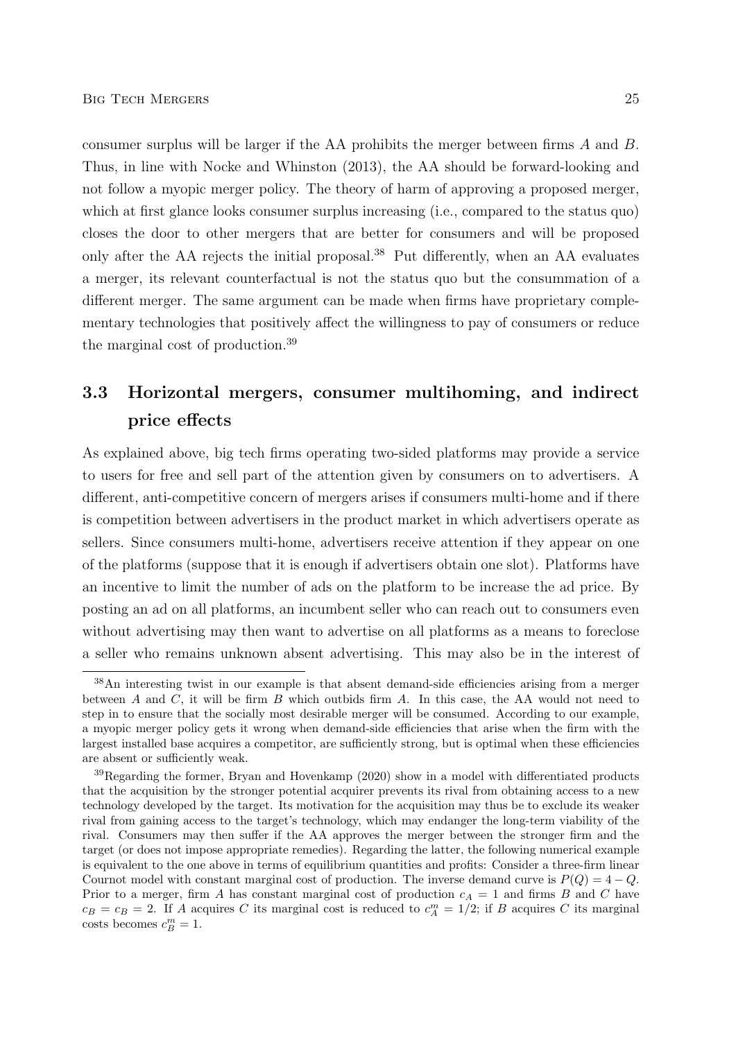consumer surplus will be larger if the AA prohibits the merger between firms A and B. Thus, in line with Nocke and Whinston (2013), the AA should be forward-looking and not follow a myopic merger policy. The theory of harm of approving a proposed merger, which at first glance looks consumer surplus increasing (i.e., compared to the status quo) closes the door to other mergers that are better for consumers and will be proposed only after the AA rejects the initial proposal.<sup>38</sup> Put differently, when an AA evaluates a merger, its relevant counterfactual is not the status quo but the consummation of a different merger. The same argument can be made when firms have proprietary complementary technologies that positively affect the willingness to pay of consumers or reduce the marginal cost of production.<sup>39</sup>

# 3.3 Horizontal mergers, consumer multihoming, and indirect price effects

As explained above, big tech firms operating two-sided platforms may provide a service to users for free and sell part of the attention given by consumers on to advertisers. A different, anti-competitive concern of mergers arises if consumers multi-home and if there is competition between advertisers in the product market in which advertisers operate as sellers. Since consumers multi-home, advertisers receive attention if they appear on one of the platforms (suppose that it is enough if advertisers obtain one slot). Platforms have an incentive to limit the number of ads on the platform to be increase the ad price. By posting an ad on all platforms, an incumbent seller who can reach out to consumers even without advertising may then want to advertise on all platforms as a means to foreclose a seller who remains unknown absent advertising. This may also be in the interest of

<sup>38</sup>An interesting twist in our example is that absent demand-side efficiencies arising from a merger between A and C, it will be firm B which outbids firm A. In this case, the AA would not need to step in to ensure that the socially most desirable merger will be consumed. According to our example, a myopic merger policy gets it wrong when demand-side efficiencies that arise when the firm with the largest installed base acquires a competitor, are sufficiently strong, but is optimal when these efficiencies are absent or sufficiently weak.

<sup>39</sup>Regarding the former, Bryan and Hovenkamp (2020) show in a model with differentiated products that the acquisition by the stronger potential acquirer prevents its rival from obtaining access to a new technology developed by the target. Its motivation for the acquisition may thus be to exclude its weaker rival from gaining access to the target's technology, which may endanger the long-term viability of the rival. Consumers may then suffer if the AA approves the merger between the stronger firm and the target (or does not impose appropriate remedies). Regarding the latter, the following numerical example is equivalent to the one above in terms of equilibrium quantities and profits: Consider a three-firm linear Cournot model with constant marginal cost of production. The inverse demand curve is  $P(Q) = 4 - Q$ . Prior to a merger, firm A has constant marginal cost of production  $c_A = 1$  and firms B and C have  $c_B = c_B = 2$ . If A acquires C its marginal cost is reduced to  $c_A^m = 1/2$ ; if B acquires C its marginal costs becomes  $c_B^m = 1$ .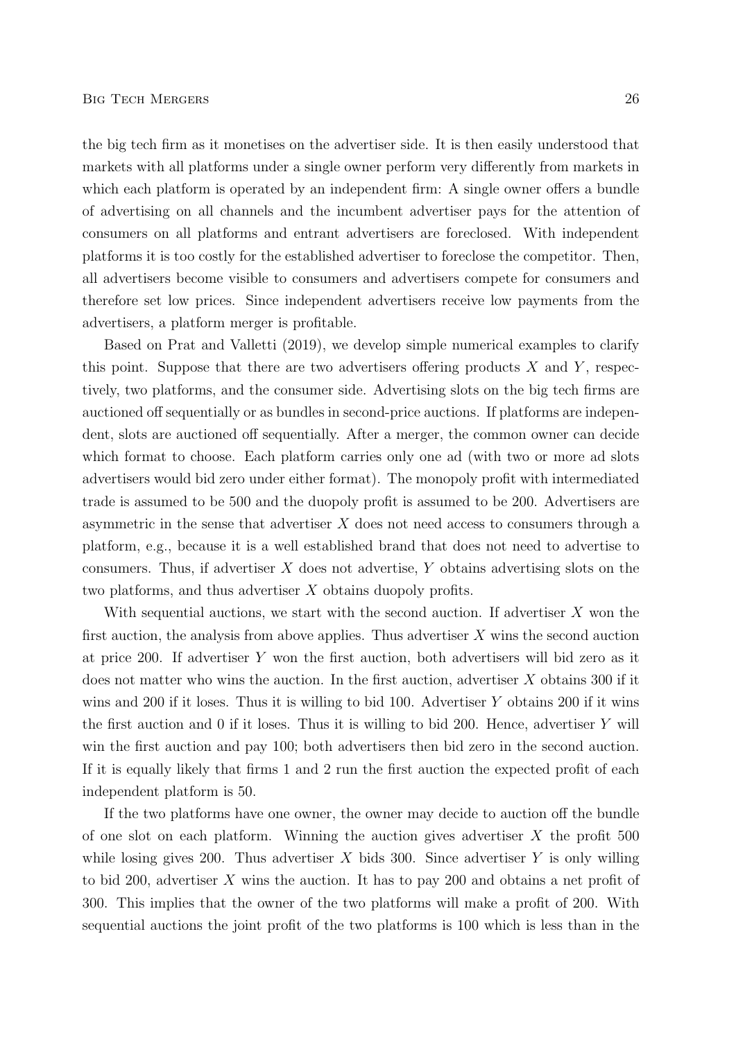the big tech firm as it monetises on the advertiser side. It is then easily understood that markets with all platforms under a single owner perform very differently from markets in which each platform is operated by an independent firm: A single owner offers a bundle of advertising on all channels and the incumbent advertiser pays for the attention of consumers on all platforms and entrant advertisers are foreclosed. With independent platforms it is too costly for the established advertiser to foreclose the competitor. Then, all advertisers become visible to consumers and advertisers compete for consumers and therefore set low prices. Since independent advertisers receive low payments from the advertisers, a platform merger is profitable.

Based on Prat and Valletti (2019), we develop simple numerical examples to clarify this point. Suppose that there are two advertisers offering products  $X$  and  $Y$ , respectively, two platforms, and the consumer side. Advertising slots on the big tech firms are auctioned off sequentially or as bundles in second-price auctions. If platforms are independent, slots are auctioned off sequentially. After a merger, the common owner can decide which format to choose. Each platform carries only one ad (with two or more ad slots advertisers would bid zero under either format). The monopoly profit with intermediated trade is assumed to be 500 and the duopoly profit is assumed to be 200. Advertisers are asymmetric in the sense that advertiser  $X$  does not need access to consumers through a platform, e.g., because it is a well established brand that does not need to advertise to consumers. Thus, if advertiser  $X$  does not advertise,  $Y$  obtains advertising slots on the two platforms, and thus advertiser X obtains duopoly profits.

With sequential auctions, we start with the second auction. If advertiser  $X$  won the first auction, the analysis from above applies. Thus advertiser  $X$  wins the second auction at price 200. If advertiser Y won the first auction, both advertisers will bid zero as it does not matter who wins the auction. In the first auction, advertiser X obtains 300 if it wins and 200 if it loses. Thus it is willing to bid 100. Advertiser  $Y$  obtains 200 if it wins the first auction and  $\theta$  if it loses. Thus it is willing to bid 200. Hence, advertiser Y will win the first auction and pay 100; both advertisers then bid zero in the second auction. If it is equally likely that firms 1 and 2 run the first auction the expected profit of each independent platform is 50.

If the two platforms have one owner, the owner may decide to auction off the bundle of one slot on each platform. Winning the auction gives advertiser  $X$  the profit 500 while losing gives 200. Thus advertiser  $X$  bids 300. Since advertiser  $Y$  is only willing to bid 200, advertiser X wins the auction. It has to pay 200 and obtains a net profit of 300. This implies that the owner of the two platforms will make a profit of 200. With sequential auctions the joint profit of the two platforms is 100 which is less than in the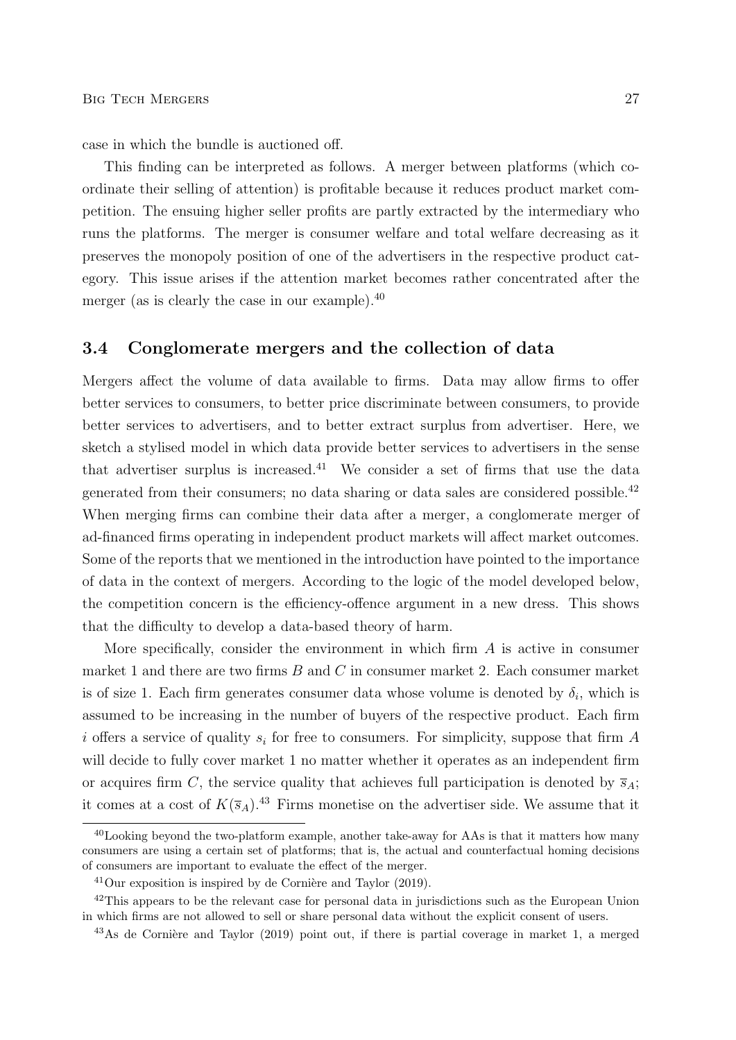case in which the bundle is auctioned off.

This finding can be interpreted as follows. A merger between platforms (which coordinate their selling of attention) is profitable because it reduces product market competition. The ensuing higher seller profits are partly extracted by the intermediary who runs the platforms. The merger is consumer welfare and total welfare decreasing as it preserves the monopoly position of one of the advertisers in the respective product category. This issue arises if the attention market becomes rather concentrated after the merger (as is clearly the case in our example).<sup>40</sup>

### 3.4 Conglomerate mergers and the collection of data

Mergers affect the volume of data available to firms. Data may allow firms to offer better services to consumers, to better price discriminate between consumers, to provide better services to advertisers, and to better extract surplus from advertiser. Here, we sketch a stylised model in which data provide better services to advertisers in the sense that advertiser surplus is increased.<sup>41</sup> We consider a set of firms that use the data generated from their consumers; no data sharing or data sales are considered possible.<sup>42</sup> When merging firms can combine their data after a merger, a conglomerate merger of ad-financed firms operating in independent product markets will affect market outcomes. Some of the reports that we mentioned in the introduction have pointed to the importance of data in the context of mergers. According to the logic of the model developed below, the competition concern is the efficiency-offence argument in a new dress. This shows that the difficulty to develop a data-based theory of harm.

More specifically, consider the environment in which firm  $A$  is active in consumer market 1 and there are two firms  $B$  and  $C$  in consumer market 2. Each consumer market is of size 1. Each firm generates consumer data whose volume is denoted by  $\delta_i$ , which is assumed to be increasing in the number of buyers of the respective product. Each firm i offers a service of quality  $s_i$  for free to consumers. For simplicity, suppose that firm A will decide to fully cover market 1 no matter whether it operates as an independent firm or acquires firm C, the service quality that achieves full participation is denoted by  $\overline{s}_A$ ; it comes at a cost of  $K(\bar{s}_A)$ .<sup>43</sup> Firms monetise on the advertiser side. We assume that it

<sup>40</sup>Looking beyond the two-platform example, another take-away for AAs is that it matters how many consumers are using a certain set of platforms; that is, the actual and counterfactual homing decisions of consumers are important to evaluate the effect of the merger.

 $^{41}$ Our exposition is inspired by de Cornière and Taylor (2019).

<sup>&</sup>lt;sup>42</sup>This appears to be the relevant case for personal data in jurisdictions such as the European Union in which firms are not allowed to sell or share personal data without the explicit consent of users.

 $43\text{As}$  de Cornière and Taylor (2019) point out, if there is partial coverage in market 1, a merged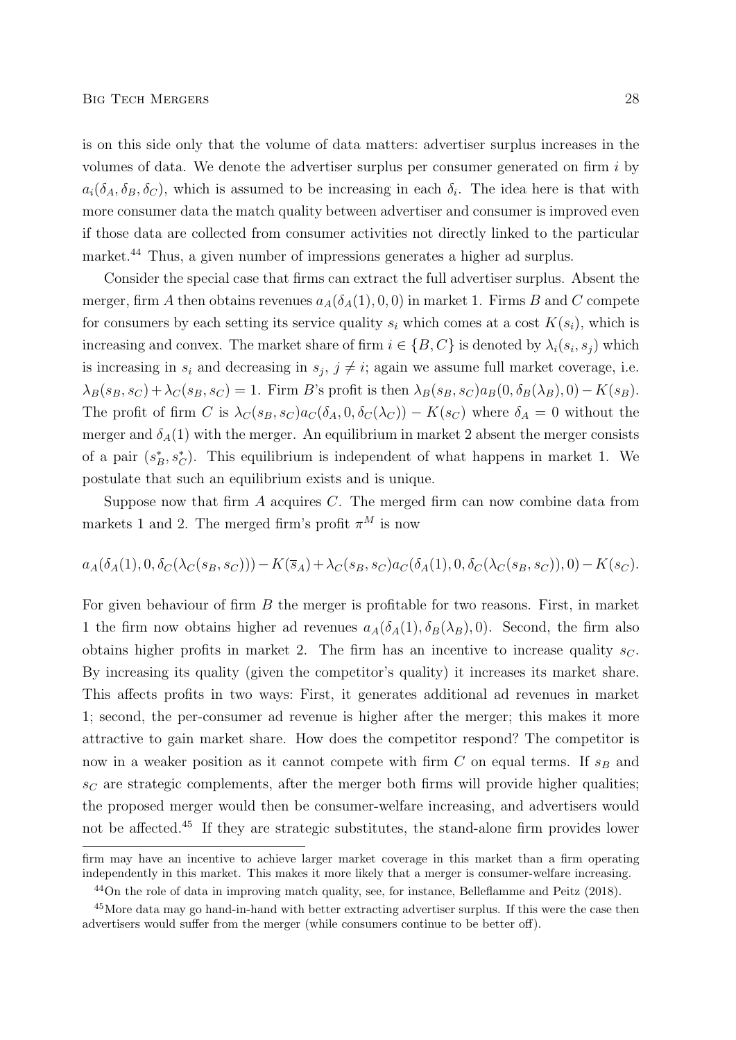is on this side only that the volume of data matters: advertiser surplus increases in the volumes of data. We denote the advertiser surplus per consumer generated on firm  $i$  by  $a_i(\delta_A, \delta_B, \delta_C)$ , which is assumed to be increasing in each  $\delta_i$ . The idea here is that with more consumer data the match quality between advertiser and consumer is improved even if those data are collected from consumer activities not directly linked to the particular market.<sup>44</sup> Thus, a given number of impressions generates a higher ad surplus.

Consider the special case that firms can extract the full advertiser surplus. Absent the merger, firm A then obtains revenues  $a_A(\delta_A(1), 0, 0)$  in market 1. Firms B and C compete for consumers by each setting its service quality  $s_i$  which comes at a cost  $K(s_i)$ , which is increasing and convex. The market share of firm  $i \in \{B, C\}$  is denoted by  $\lambda_i(s_i, s_j)$  which is increasing in  $s_i$  and decreasing in  $s_j$ ,  $j \neq i$ ; again we assume full market coverage, i.e.  $\lambda_B(s_B, s_C) + \lambda_C(s_B, s_C) = 1$ . Firm B's profit is then  $\lambda_B(s_B, s_C)a_B(0, \delta_B(\lambda_B), 0) - K(s_B)$ . The profit of firm C is  $\lambda_C(s_B, s_C) a_C(\delta_A, 0, \delta_C(\lambda_C)) - K(s_C)$  where  $\delta_A = 0$  without the merger and  $\delta_A(1)$  with the merger. An equilibrium in market 2 absent the merger consists of a pair  $(s_B^*, s_C^*)$ . This equilibrium is independent of what happens in market 1. We postulate that such an equilibrium exists and is unique.

Suppose now that firm  $A$  acquires  $C$ . The merged firm can now combine data from markets 1 and 2. The merged firm's profit  $\pi^M$  is now

$$
a_A(\delta_A(1), 0, \delta_C(\lambda_C(s_B, s_C))) - K(\bar{s}_A) + \lambda_C(s_B, s_C) a_C(\delta_A(1), 0, \delta_C(\lambda_C(s_B, s_C)), 0) - K(s_C).
$$

For given behaviour of firm B the merger is profitable for two reasons. First, in market 1 the firm now obtains higher ad revenues  $a_A(\delta_A(1), \delta_B(\lambda_B), 0)$ . Second, the firm also obtains higher profits in market 2. The firm has an incentive to increase quality  $s_C$ . By increasing its quality (given the competitor's quality) it increases its market share. This affects profits in two ways: First, it generates additional ad revenues in market 1; second, the per-consumer ad revenue is higher after the merger; this makes it more attractive to gain market share. How does the competitor respond? The competitor is now in a weaker position as it cannot compete with firm  $C$  on equal terms. If  $s_B$  and  $s_C$  are strategic complements, after the merger both firms will provide higher qualities; the proposed merger would then be consumer-welfare increasing, and advertisers would not be affected.<sup>45</sup> If they are strategic substitutes, the stand-alone firm provides lower

firm may have an incentive to achieve larger market coverage in this market than a firm operating independently in this market. This makes it more likely that a merger is consumer-welfare increasing.

<sup>44</sup>On the role of data in improving match quality, see, for instance, Belleflamme and Peitz (2018).

<sup>&</sup>lt;sup>45</sup>More data may go hand-in-hand with better extracting advertiser surplus. If this were the case then advertisers would suffer from the merger (while consumers continue to be better off).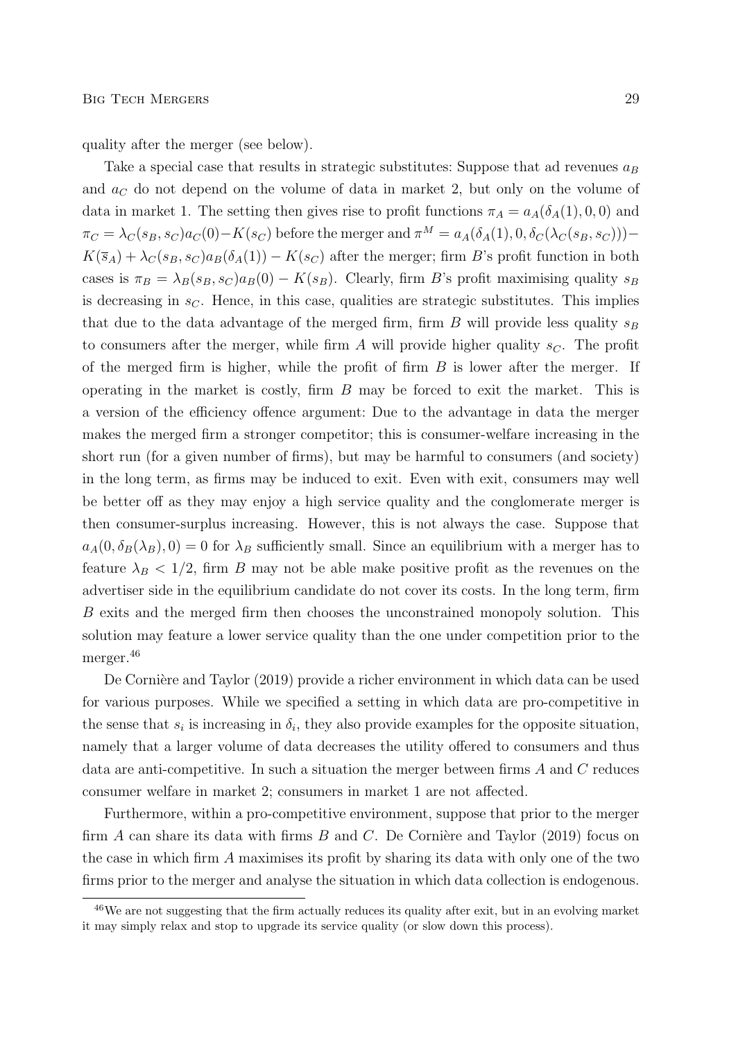quality after the merger (see below).

Take a special case that results in strategic substitutes: Suppose that ad revenues  $a_B$ and  $a<sub>C</sub>$  do not depend on the volume of data in market 2, but only on the volume of data in market 1. The setting then gives rise to profit functions  $\pi_A = a_A(\delta_A(1), 0, 0)$  and  $\pi_C = \lambda_C(s_B, s_C) a_C(0) - K(s_C)$  before the merger and  $\pi^M = a_A(\delta_A(1), 0, \delta_C(\lambda_C(s_B, s_C)))$  $K(\bar{s}_A) + \lambda_C(s_B, s_C)a_B(\delta_A(1)) - K(s_C)$  after the merger; firm B's profit function in both cases is  $\pi_B = \lambda_B(s_B, s_C)a_B(0) - K(s_B)$ . Clearly, firm B's profit maximising quality  $s_B$ is decreasing in  $s<sub>C</sub>$ . Hence, in this case, qualities are strategic substitutes. This implies that due to the data advantage of the merged firm, firm  $B$  will provide less quality  $s_B$ to consumers after the merger, while firm A will provide higher quality  $s_C$ . The profit of the merged firm is higher, while the profit of firm  $B$  is lower after the merger. If operating in the market is costly, firm B may be forced to exit the market. This is a version of the efficiency offence argument: Due to the advantage in data the merger makes the merged firm a stronger competitor; this is consumer-welfare increasing in the short run (for a given number of firms), but may be harmful to consumers (and society) in the long term, as firms may be induced to exit. Even with exit, consumers may well be better off as they may enjoy a high service quality and the conglomerate merger is then consumer-surplus increasing. However, this is not always the case. Suppose that  $a_A(0, \delta_B(\lambda_B), 0) = 0$  for  $\lambda_B$  sufficiently small. Since an equilibrium with a merger has to feature  $\lambda_B < 1/2$ , firm B may not be able make positive profit as the revenues on the advertiser side in the equilibrium candidate do not cover its costs. In the long term, firm B exits and the merged firm then chooses the unconstrained monopoly solution. This solution may feature a lower service quality than the one under competition prior to the merger.<sup>46</sup>

De Cornière and Taylor (2019) provide a richer environment in which data can be used for various purposes. While we specified a setting in which data are pro-competitive in the sense that  $s_i$  is increasing in  $\delta_i$ , they also provide examples for the opposite situation, namely that a larger volume of data decreases the utility offered to consumers and thus data are anti-competitive. In such a situation the merger between firms A and C reduces consumer welfare in market 2; consumers in market 1 are not affected.

Furthermore, within a pro-competitive environment, suppose that prior to the merger firm  $A$  can share its data with firms  $B$  and  $C$ . De Cornière and Taylor (2019) focus on the case in which firm A maximises its profit by sharing its data with only one of the two firms prior to the merger and analyse the situation in which data collection is endogenous.

<sup>46</sup>We are not suggesting that the firm actually reduces its quality after exit, but in an evolving market it may simply relax and stop to upgrade its service quality (or slow down this process).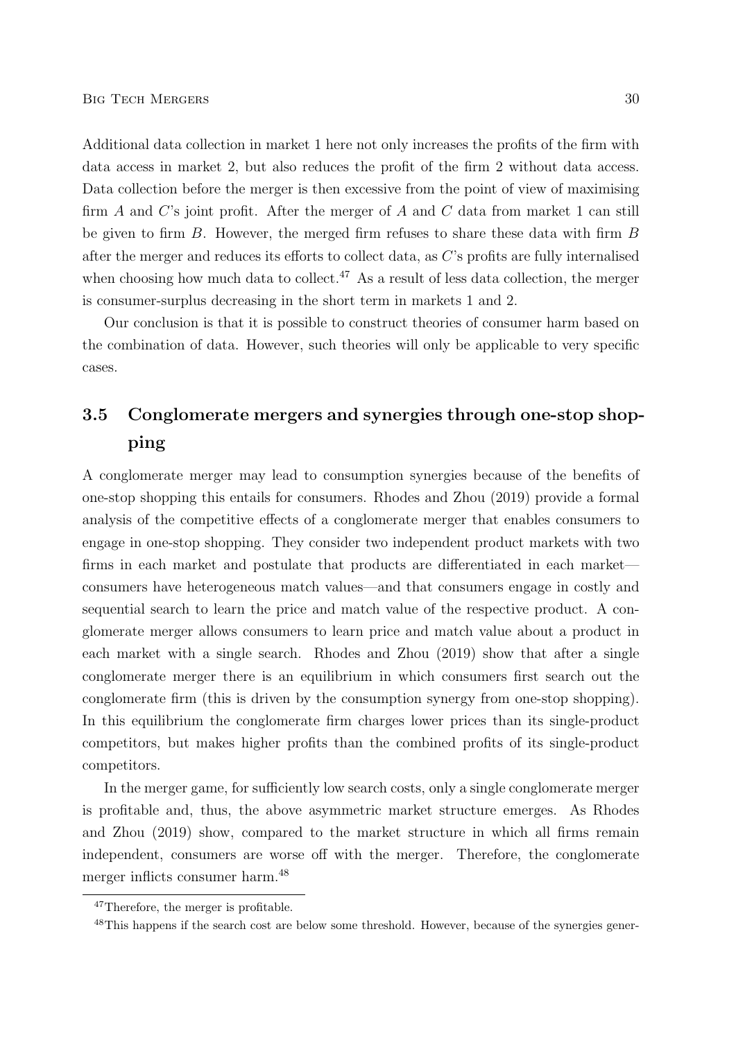Additional data collection in market 1 here not only increases the profits of the firm with data access in market 2, but also reduces the profit of the firm 2 without data access. Data collection before the merger is then excessive from the point of view of maximising firm  $A$  and  $C$ 's joint profit. After the merger of  $A$  and  $C$  data from market 1 can still be given to firm B. However, the merged firm refuses to share these data with firm B after the merger and reduces its efforts to collect data, as C's profits are fully internalised when choosing how much data to collect.<sup>47</sup> As a result of less data collection, the merger is consumer-surplus decreasing in the short term in markets 1 and 2.

Our conclusion is that it is possible to construct theories of consumer harm based on the combination of data. However, such theories will only be applicable to very specific cases.

# 3.5 Conglomerate mergers and synergies through one-stop shopping

A conglomerate merger may lead to consumption synergies because of the benefits of one-stop shopping this entails for consumers. Rhodes and Zhou (2019) provide a formal analysis of the competitive effects of a conglomerate merger that enables consumers to engage in one-stop shopping. They consider two independent product markets with two firms in each market and postulate that products are differentiated in each market consumers have heterogeneous match values—and that consumers engage in costly and sequential search to learn the price and match value of the respective product. A conglomerate merger allows consumers to learn price and match value about a product in each market with a single search. Rhodes and Zhou (2019) show that after a single conglomerate merger there is an equilibrium in which consumers first search out the conglomerate firm (this is driven by the consumption synergy from one-stop shopping). In this equilibrium the conglomerate firm charges lower prices than its single-product competitors, but makes higher profits than the combined profits of its single-product competitors.

In the merger game, for sufficiently low search costs, only a single conglomerate merger is profitable and, thus, the above asymmetric market structure emerges. As Rhodes and Zhou (2019) show, compared to the market structure in which all firms remain independent, consumers are worse off with the merger. Therefore, the conglomerate merger inflicts consumer harm.<sup>48</sup>

<sup>47</sup>Therefore, the merger is profitable.

<sup>&</sup>lt;sup>48</sup>This happens if the search cost are below some threshold. However, because of the synergies gener-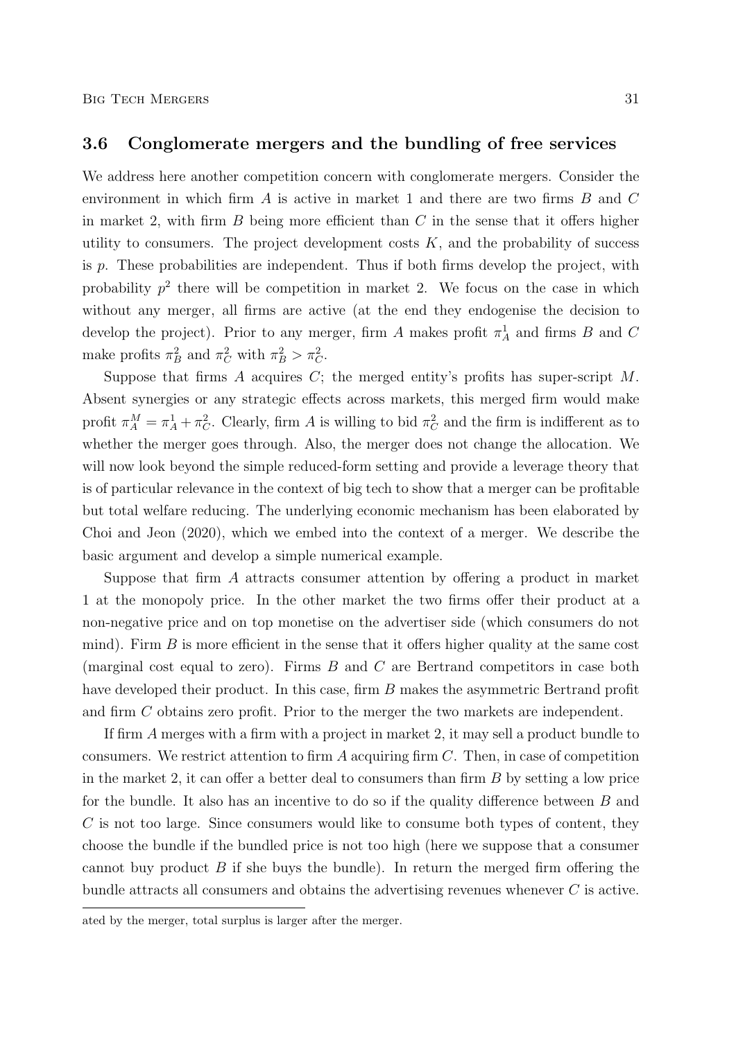### 3.6 Conglomerate mergers and the bundling of free services

We address here another competition concern with conglomerate mergers. Consider the environment in which firm A is active in market 1 and there are two firms B and C in market 2, with firm  $B$  being more efficient than  $C$  in the sense that it offers higher utility to consumers. The project development costs  $K$ , and the probability of success is  $p$ . These probabilities are independent. Thus if both firms develop the project, with probability  $p^2$  there will be competition in market 2. We focus on the case in which without any merger, all firms are active (at the end they endogenise the decision to develop the project). Prior to any merger, firm A makes profit  $\pi_A^1$  and firms B and C make profits  $\pi_B^2$  and  $\pi_C^2$  with  $\pi_B^2 > \pi_C^2$ .

Suppose that firms  $A$  acquires  $C$ ; the merged entity's profits has super-script  $M$ . Absent synergies or any strategic effects across markets, this merged firm would make profit  $\pi_A^M = \pi_A^1 + \pi_C^2$ . Clearly, firm A is willing to bid  $\pi_C^2$  and the firm is indifferent as to whether the merger goes through. Also, the merger does not change the allocation. We will now look beyond the simple reduced-form setting and provide a leverage theory that is of particular relevance in the context of big tech to show that a merger can be profitable but total welfare reducing. The underlying economic mechanism has been elaborated by Choi and Jeon (2020), which we embed into the context of a merger. We describe the basic argument and develop a simple numerical example.

Suppose that firm A attracts consumer attention by offering a product in market 1 at the monopoly price. In the other market the two firms offer their product at a non-negative price and on top monetise on the advertiser side (which consumers do not mind). Firm  $B$  is more efficient in the sense that it offers higher quality at the same cost (marginal cost equal to zero). Firms B and C are Bertrand competitors in case both have developed their product. In this case, firm B makes the asymmetric Bertrand profit and firm C obtains zero profit. Prior to the merger the two markets are independent.

If firm A merges with a firm with a project in market 2, it may sell a product bundle to consumers. We restrict attention to firm  $A$  acquiring firm  $C$ . Then, in case of competition in the market 2, it can offer a better deal to consumers than firm  $B$  by setting a low price for the bundle. It also has an incentive to do so if the quality difference between  $B$  and C is not too large. Since consumers would like to consume both types of content, they choose the bundle if the bundled price is not too high (here we suppose that a consumer cannot buy product  $B$  if she buys the bundle). In return the merged firm offering the bundle attracts all consumers and obtains the advertising revenues whenever  $C$  is active.

ated by the merger, total surplus is larger after the merger.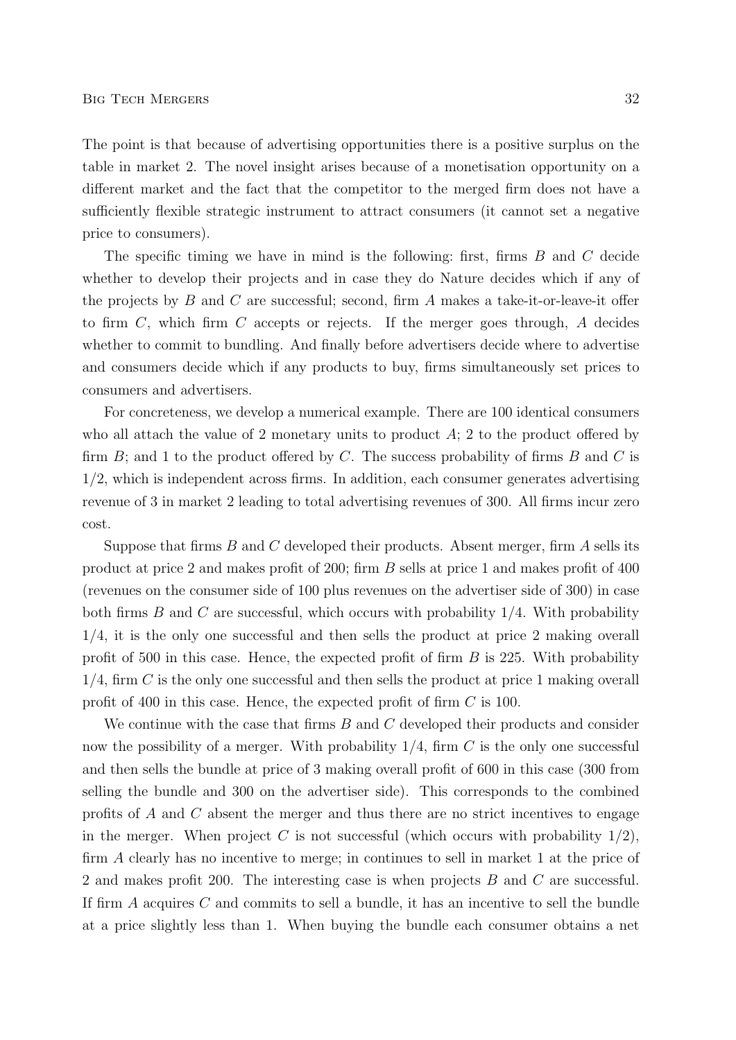The point is that because of advertising opportunities there is a positive surplus on the table in market 2. The novel insight arises because of a monetisation opportunity on a different market and the fact that the competitor to the merged firm does not have a sufficiently flexible strategic instrument to attract consumers (it cannot set a negative price to consumers).

The specific timing we have in mind is the following: first, firms B and C decide whether to develop their projects and in case they do Nature decides which if any of the projects by  $B$  and  $C$  are successful; second, firm  $A$  makes a take-it-or-leave-it offer to firm  $C$ , which firm  $C$  accepts or rejects. If the merger goes through,  $A$  decides whether to commit to bundling. And finally before advertisers decide where to advertise and consumers decide which if any products to buy, firms simultaneously set prices to consumers and advertisers.

For concreteness, we develop a numerical example. There are 100 identical consumers who all attach the value of 2 monetary units to product  $A$ ; 2 to the product offered by firm  $B$ ; and 1 to the product offered by  $C$ . The success probability of firms  $B$  and  $C$  is 1/2, which is independent across firms. In addition, each consumer generates advertising revenue of 3 in market 2 leading to total advertising revenues of 300. All firms incur zero cost.

Suppose that firms  $B$  and  $C$  developed their products. Absent merger, firm  $A$  sells its product at price 2 and makes profit of 200; firm B sells at price 1 and makes profit of 400 (revenues on the consumer side of 100 plus revenues on the advertiser side of 300) in case both firms  $B$  and  $C$  are successful, which occurs with probability  $1/4$ . With probability 1/4, it is the only one successful and then sells the product at price 2 making overall profit of 500 in this case. Hence, the expected profit of firm  $B$  is 225. With probability  $1/4$ , firm  $C$  is the only one successful and then sells the product at price 1 making overall profit of 400 in this case. Hence, the expected profit of firm C is 100.

We continue with the case that firms B and C developed their products and consider now the possibility of a merger. With probability  $1/4$ , firm C is the only one successful and then sells the bundle at price of 3 making overall profit of 600 in this case (300 from selling the bundle and 300 on the advertiser side). This corresponds to the combined profits of A and C absent the merger and thus there are no strict incentives to engage in the merger. When project C is not successful (which occurs with probability  $1/2$ ), firm A clearly has no incentive to merge; in continues to sell in market 1 at the price of 2 and makes profit 200. The interesting case is when projects B and C are successful. If firm A acquires C and commits to sell a bundle, it has an incentive to sell the bundle at a price slightly less than 1. When buying the bundle each consumer obtains a net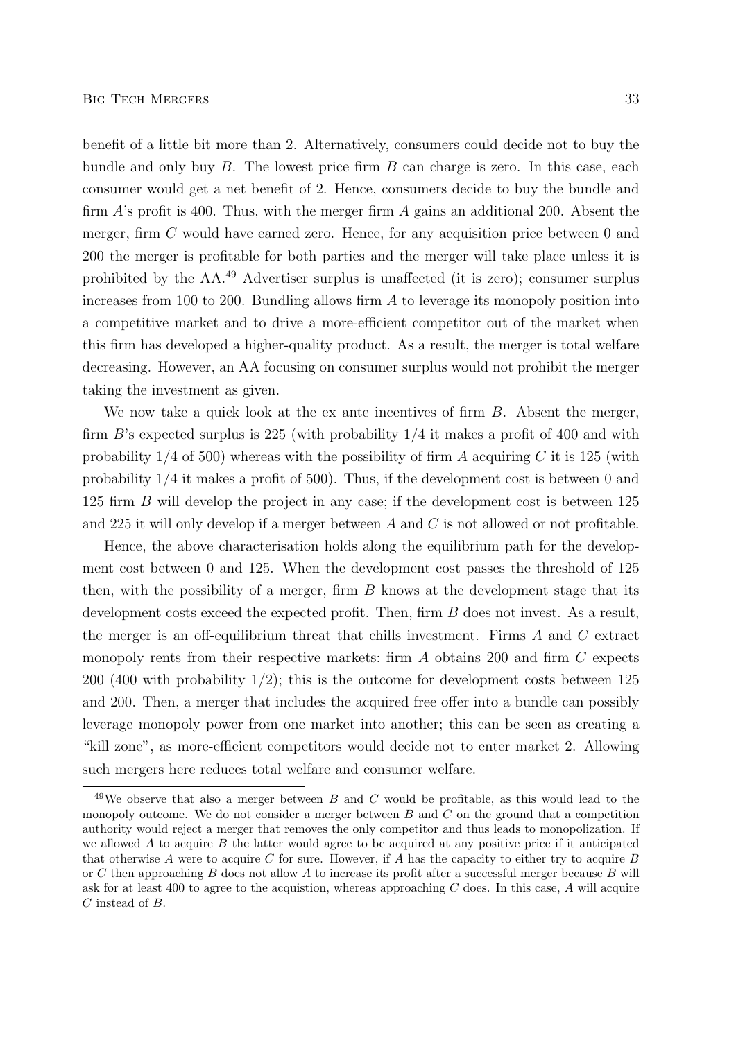benefit of a little bit more than 2. Alternatively, consumers could decide not to buy the bundle and only buy  $B$ . The lowest price firm  $B$  can charge is zero. In this case, each consumer would get a net benefit of 2. Hence, consumers decide to buy the bundle and firm  $\hat{A}$ 's profit is 400. Thus, with the merger firm  $\hat{A}$  gains an additional 200. Absent the merger, firm C would have earned zero. Hence, for any acquisition price between 0 and 200 the merger is profitable for both parties and the merger will take place unless it is prohibited by the AA.<sup>49</sup> Advertiser surplus is unaffected (it is zero); consumer surplus increases from 100 to 200. Bundling allows firm A to leverage its monopoly position into a competitive market and to drive a more-efficient competitor out of the market when this firm has developed a higher-quality product. As a result, the merger is total welfare decreasing. However, an AA focusing on consumer surplus would not prohibit the merger taking the investment as given.

We now take a quick look at the ex ante incentives of firm B. Absent the merger, firm B's expected surplus is 225 (with probability 1/4 it makes a profit of 400 and with probability  $1/4$  of 500) whereas with the possibility of firm A acquiring C it is 125 (with probability 1/4 it makes a profit of 500). Thus, if the development cost is between 0 and 125 firm B will develop the project in any case; if the development cost is between 125 and 225 it will only develop if a merger between A and C is not allowed or not profitable.

Hence, the above characterisation holds along the equilibrium path for the development cost between 0 and 125. When the development cost passes the threshold of 125 then, with the possibility of a merger, firm  $B$  knows at the development stage that its development costs exceed the expected profit. Then, firm B does not invest. As a result, the merger is an off-equilibrium threat that chills investment. Firms A and C extract monopoly rents from their respective markets: firm A obtains 200 and firm C expects 200 (400 with probability  $1/2$ ); this is the outcome for development costs between 125 and 200. Then, a merger that includes the acquired free offer into a bundle can possibly leverage monopoly power from one market into another; this can be seen as creating a "kill zone", as more-efficient competitors would decide not to enter market 2. Allowing such mergers here reduces total welfare and consumer welfare.

 $49$ We observe that also a merger between B and C would be profitable, as this would lead to the monopoly outcome. We do not consider a merger between  $B$  and  $C$  on the ground that a competition authority would reject a merger that removes the only competitor and thus leads to monopolization. If we allowed  $A$  to acquire  $B$  the latter would agree to be acquired at any positive price if it anticipated that otherwise A were to acquire C for sure. However, if A has the capacity to either try to acquire B or C then approaching B does not allow A to increase its profit after a successful merger because B will ask for at least 400 to agree to the acquistion, whereas approaching  $C$  does. In this case,  $A$  will acquire C instead of B.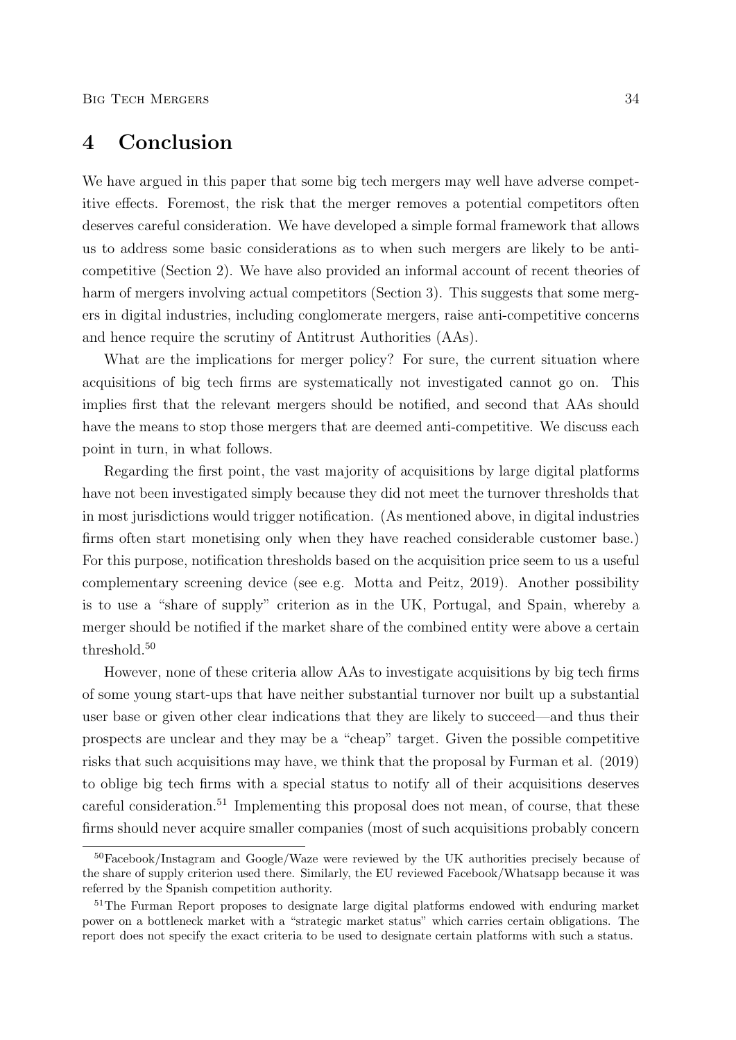## 4 Conclusion

We have argued in this paper that some big tech mergers may well have adverse competitive effects. Foremost, the risk that the merger removes a potential competitors often deserves careful consideration. We have developed a simple formal framework that allows us to address some basic considerations as to when such mergers are likely to be anticompetitive (Section 2). We have also provided an informal account of recent theories of harm of mergers involving actual competitors (Section 3). This suggests that some mergers in digital industries, including conglomerate mergers, raise anti-competitive concerns and hence require the scrutiny of Antitrust Authorities (AAs).

What are the implications for merger policy? For sure, the current situation where acquisitions of big tech firms are systematically not investigated cannot go on. This implies first that the relevant mergers should be notified, and second that AAs should have the means to stop those mergers that are deemed anti-competitive. We discuss each point in turn, in what follows.

Regarding the first point, the vast majority of acquisitions by large digital platforms have not been investigated simply because they did not meet the turnover thresholds that in most jurisdictions would trigger notification. (As mentioned above, in digital industries firms often start monetising only when they have reached considerable customer base.) For this purpose, notification thresholds based on the acquisition price seem to us a useful complementary screening device (see e.g. Motta and Peitz, 2019). Another possibility is to use a "share of supply" criterion as in the UK, Portugal, and Spain, whereby a merger should be notified if the market share of the combined entity were above a certain threshold.<sup>50</sup>

However, none of these criteria allow AAs to investigate acquisitions by big tech firms of some young start-ups that have neither substantial turnover nor built up a substantial user base or given other clear indications that they are likely to succeed—and thus their prospects are unclear and they may be a "cheap" target. Given the possible competitive risks that such acquisitions may have, we think that the proposal by Furman et al. (2019) to oblige big tech firms with a special status to notify all of their acquisitions deserves careful consideration.<sup>51</sup> Implementing this proposal does not mean, of course, that these firms should never acquire smaller companies (most of such acquisitions probably concern

<sup>50</sup>Facebook/Instagram and Google/Waze were reviewed by the UK authorities precisely because of the share of supply criterion used there. Similarly, the EU reviewed Facebook/Whatsapp because it was referred by the Spanish competition authority.

<sup>&</sup>lt;sup>51</sup>The Furman Report proposes to designate large digital platforms endowed with enduring market power on a bottleneck market with a "strategic market status" which carries certain obligations. The report does not specify the exact criteria to be used to designate certain platforms with such a status.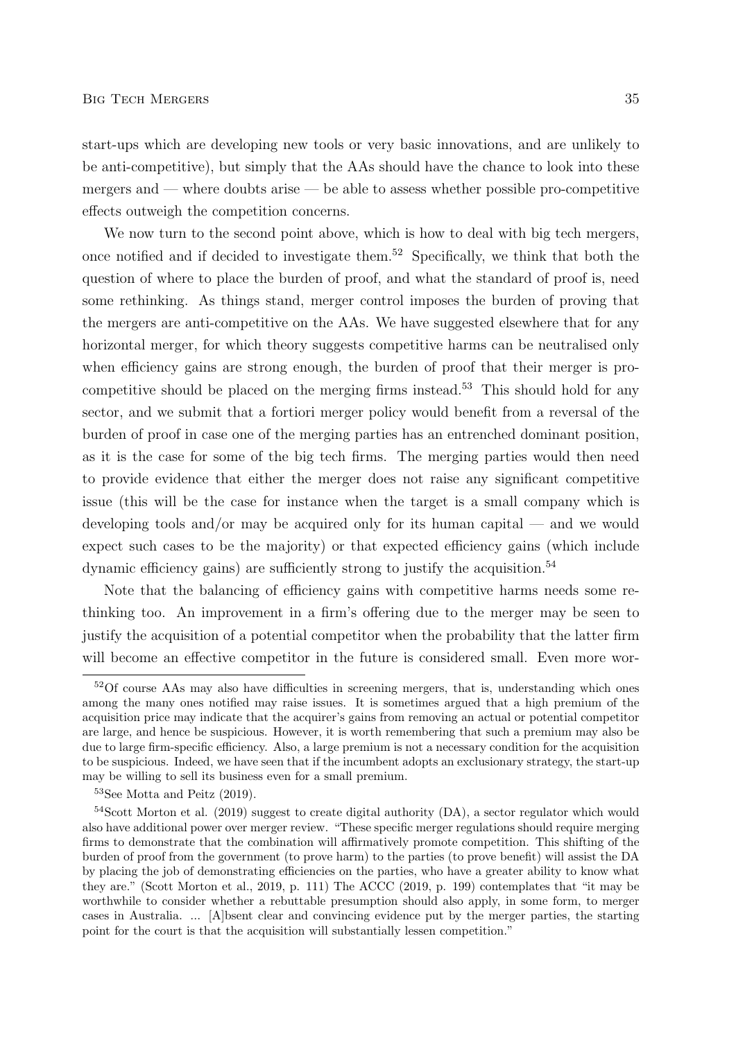start-ups which are developing new tools or very basic innovations, and are unlikely to be anti-competitive), but simply that the AAs should have the chance to look into these mergers and — where doubts arise — be able to assess whether possible pro-competitive effects outweigh the competition concerns.

We now turn to the second point above, which is how to deal with big tech mergers, once notified and if decided to investigate them.<sup>52</sup> Specifically, we think that both the question of where to place the burden of proof, and what the standard of proof is, need some rethinking. As things stand, merger control imposes the burden of proving that the mergers are anti-competitive on the AAs. We have suggested elsewhere that for any horizontal merger, for which theory suggests competitive harms can be neutralised only when efficiency gains are strong enough, the burden of proof that their merger is procompetitive should be placed on the merging firms instead.<sup>53</sup> This should hold for any sector, and we submit that a fortiori merger policy would benefit from a reversal of the burden of proof in case one of the merging parties has an entrenched dominant position, as it is the case for some of the big tech firms. The merging parties would then need to provide evidence that either the merger does not raise any significant competitive issue (this will be the case for instance when the target is a small company which is developing tools and/or may be acquired only for its human capital — and we would expect such cases to be the majority) or that expected efficiency gains (which include dynamic efficiency gains) are sufficiently strong to justify the acquisition.<sup>54</sup>

Note that the balancing of efficiency gains with competitive harms needs some rethinking too. An improvement in a firm's offering due to the merger may be seen to justify the acquisition of a potential competitor when the probability that the latter firm will become an effective competitor in the future is considered small. Even more wor-

<sup>&</sup>lt;sup>52</sup>Of course AAs may also have difficulties in screening mergers, that is, understanding which ones among the many ones notified may raise issues. It is sometimes argued that a high premium of the acquisition price may indicate that the acquirer's gains from removing an actual or potential competitor are large, and hence be suspicious. However, it is worth remembering that such a premium may also be due to large firm-specific efficiency. Also, a large premium is not a necessary condition for the acquisition to be suspicious. Indeed, we have seen that if the incumbent adopts an exclusionary strategy, the start-up may be willing to sell its business even for a small premium.

<sup>53</sup>See Motta and Peitz (2019).

<sup>54</sup>Scott Morton et al. (2019) suggest to create digital authority (DA), a sector regulator which would also have additional power over merger review. "These specific merger regulations should require merging firms to demonstrate that the combination will affirmatively promote competition. This shifting of the burden of proof from the government (to prove harm) to the parties (to prove benefit) will assist the DA by placing the job of demonstrating efficiencies on the parties, who have a greater ability to know what they are." (Scott Morton et al., 2019, p. 111) The ACCC (2019, p. 199) contemplates that "it may be worthwhile to consider whether a rebuttable presumption should also apply, in some form, to merger cases in Australia. ... [A]bsent clear and convincing evidence put by the merger parties, the starting point for the court is that the acquisition will substantially lessen competition."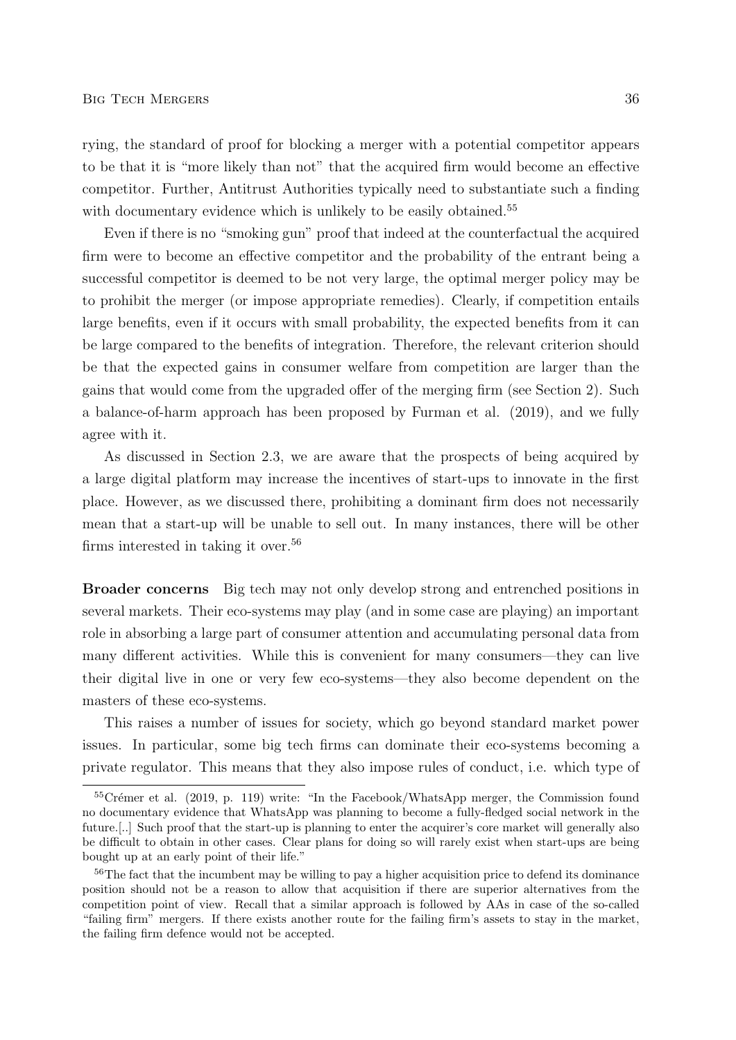rying, the standard of proof for blocking a merger with a potential competitor appears to be that it is "more likely than not" that the acquired firm would become an effective competitor. Further, Antitrust Authorities typically need to substantiate such a finding with documentary evidence which is unlikely to be easily obtained.<sup>55</sup>

Even if there is no "smoking gun" proof that indeed at the counterfactual the acquired firm were to become an effective competitor and the probability of the entrant being a successful competitor is deemed to be not very large, the optimal merger policy may be to prohibit the merger (or impose appropriate remedies). Clearly, if competition entails large benefits, even if it occurs with small probability, the expected benefits from it can be large compared to the benefits of integration. Therefore, the relevant criterion should be that the expected gains in consumer welfare from competition are larger than the gains that would come from the upgraded offer of the merging firm (see Section 2). Such a balance-of-harm approach has been proposed by Furman et al. (2019), and we fully agree with it.

As discussed in Section 2.3, we are aware that the prospects of being acquired by a large digital platform may increase the incentives of start-ups to innovate in the first place. However, as we discussed there, prohibiting a dominant firm does not necessarily mean that a start-up will be unable to sell out. In many instances, there will be other firms interested in taking it over.<sup>56</sup>

Broader concerns Big tech may not only develop strong and entrenched positions in several markets. Their eco-systems may play (and in some case are playing) an important role in absorbing a large part of consumer attention and accumulating personal data from many different activities. While this is convenient for many consumers—they can live their digital live in one or very few eco-systems—they also become dependent on the masters of these eco-systems.

This raises a number of issues for society, which go beyond standard market power issues. In particular, some big tech firms can dominate their eco-systems becoming a private regulator. This means that they also impose rules of conduct, i.e. which type of

 ${}^{55}$ Crémer et al. (2019, p. 119) write: "In the Facebook/WhatsApp merger, the Commission found no documentary evidence that WhatsApp was planning to become a fully-fledged social network in the future.[..] Such proof that the start-up is planning to enter the acquirer's core market will generally also be difficult to obtain in other cases. Clear plans for doing so will rarely exist when start-ups are being bought up at an early point of their life."

<sup>&</sup>lt;sup>56</sup>The fact that the incumbent may be willing to pay a higher acquisition price to defend its dominance position should not be a reason to allow that acquisition if there are superior alternatives from the competition point of view. Recall that a similar approach is followed by AAs in case of the so-called "failing firm" mergers. If there exists another route for the failing firm's assets to stay in the market, the failing firm defence would not be accepted.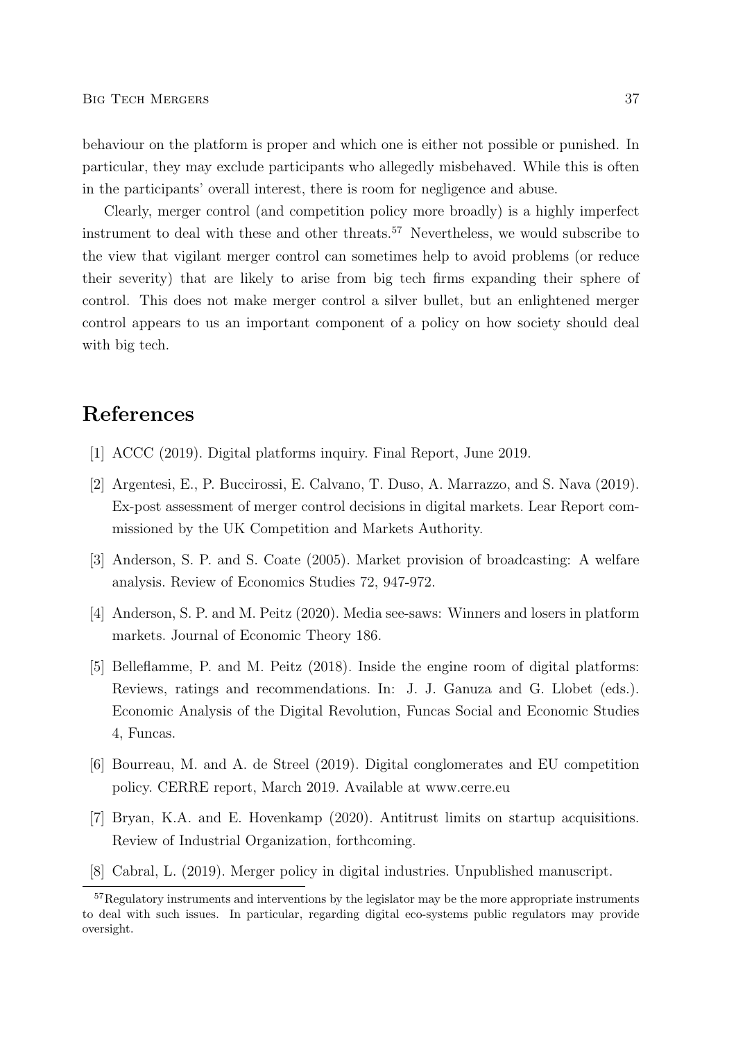behaviour on the platform is proper and which one is either not possible or punished. In particular, they may exclude participants who allegedly misbehaved. While this is often in the participants' overall interest, there is room for negligence and abuse.

Clearly, merger control (and competition policy more broadly) is a highly imperfect instrument to deal with these and other threats.<sup>57</sup> Nevertheless, we would subscribe to the view that vigilant merger control can sometimes help to avoid problems (or reduce their severity) that are likely to arise from big tech firms expanding their sphere of control. This does not make merger control a silver bullet, but an enlightened merger control appears to us an important component of a policy on how society should deal with big tech.

## References

- [1] ACCC (2019). Digital platforms inquiry. Final Report, June 2019.
- [2] Argentesi, E., P. Buccirossi, E. Calvano, T. Duso, A. Marrazzo, and S. Nava (2019). Ex-post assessment of merger control decisions in digital markets. Lear Report commissioned by the UK Competition and Markets Authority.
- [3] Anderson, S. P. and S. Coate (2005). Market provision of broadcasting: A welfare analysis. Review of Economics Studies 72, 947-972.
- [4] Anderson, S. P. and M. Peitz (2020). Media see-saws: Winners and losers in platform markets. Journal of Economic Theory 186.
- [5] Belleflamme, P. and M. Peitz (2018). Inside the engine room of digital platforms: Reviews, ratings and recommendations. In: J. J. Ganuza and G. Llobet (eds.). Economic Analysis of the Digital Revolution, Funcas Social and Economic Studies 4, Funcas.
- [6] Bourreau, M. and A. de Streel (2019). Digital conglomerates and EU competition policy. CERRE report, March 2019. Available at www.cerre.eu
- [7] Bryan, K.A. and E. Hovenkamp (2020). Antitrust limits on startup acquisitions. Review of Industrial Organization, forthcoming.
- [8] Cabral, L. (2019). Merger policy in digital industries. Unpublished manuscript.

<sup>&</sup>lt;sup>57</sup>Regulatory instruments and interventions by the legislator may be the more appropriate instruments to deal with such issues. In particular, regarding digital eco-systems public regulators may provide oversight.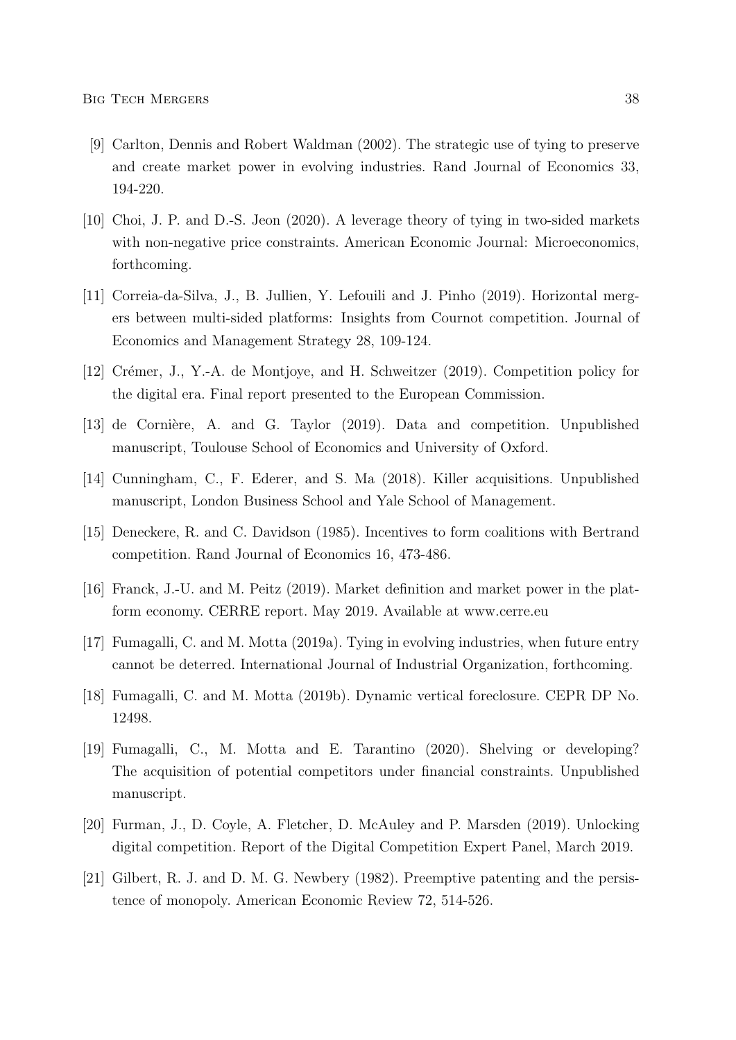- [9] Carlton, Dennis and Robert Waldman (2002). The strategic use of tying to preserve and create market power in evolving industries. Rand Journal of Economics 33, 194-220.
- [10] Choi, J. P. and D.-S. Jeon (2020). A leverage theory of tying in two-sided markets with non-negative price constraints. American Economic Journal: Microeconomics, forthcoming.
- [11] Correia-da-Silva, J., B. Jullien, Y. Lefouili and J. Pinho (2019). Horizontal mergers between multi-sided platforms: Insights from Cournot competition. Journal of Economics and Management Strategy 28, 109-124.
- [12] Crémer, J., Y.-A. de Montjoye, and H. Schweitzer (2019). Competition policy for the digital era. Final report presented to the European Commission.
- [13] de Cornière, A. and G. Taylor (2019). Data and competition. Unpublished manuscript, Toulouse School of Economics and University of Oxford.
- [14] Cunningham, C., F. Ederer, and S. Ma (2018). Killer acquisitions. Unpublished manuscript, London Business School and Yale School of Management.
- [15] Deneckere, R. and C. Davidson (1985). Incentives to form coalitions with Bertrand competition. Rand Journal of Economics 16, 473-486.
- [16] Franck, J.-U. and M. Peitz (2019). Market definition and market power in the platform economy. CERRE report. May 2019. Available at www.cerre.eu
- [17] Fumagalli, C. and M. Motta (2019a). Tying in evolving industries, when future entry cannot be deterred. International Journal of Industrial Organization, forthcoming.
- [18] Fumagalli, C. and M. Motta (2019b). Dynamic vertical foreclosure. CEPR DP No. 12498.
- [19] Fumagalli, C., M. Motta and E. Tarantino (2020). Shelving or developing? The acquisition of potential competitors under financial constraints. Unpublished manuscript.
- [20] Furman, J., D. Coyle, A. Fletcher, D. McAuley and P. Marsden (2019). Unlocking digital competition. Report of the Digital Competition Expert Panel, March 2019.
- [21] Gilbert, R. J. and D. M. G. Newbery (1982). Preemptive patenting and the persistence of monopoly. American Economic Review 72, 514-526.